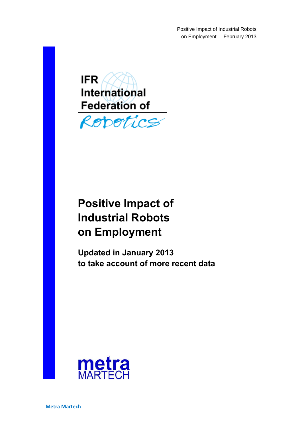Positive Impact of Industrial Robots on Employment February 2013



# **Positive Impact of Industrial Robots on Employment**

**Updated in January 2013 to take account of more recent data** 

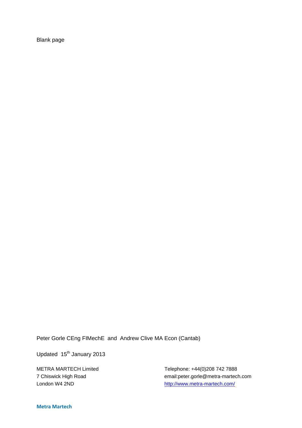Blank page

Peter Gorle CEng FIMechE and Andrew Clive MA Econ (Cantab)

Updated 15<sup>th</sup> January 2013

METRA MARTECH Limited Telephone: +44(0)208 742 7888 7 Chiswick High Road email:peter.gorle@metra-martech.com London W4 2ND http://www.metra-martech.com/

**Metra Martech**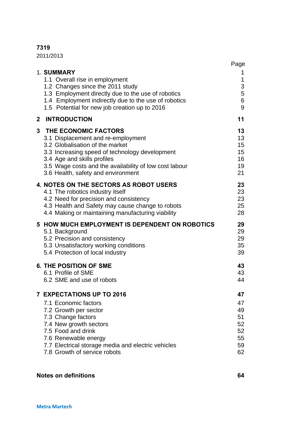## **7319**

2011/2013

|              |                                                                                            | Page                      |
|--------------|--------------------------------------------------------------------------------------------|---------------------------|
|              | 1. SUMMARY                                                                                 | 1                         |
|              | 1.1 Overall rise in employment                                                             | 1                         |
|              | 1.2 Changes since the 2011 study                                                           | $\ensuremath{\mathsf{3}}$ |
|              | 1.3 Employment directly due to the use of robotics                                         | 5                         |
|              | 1.4 Employment indirectly due to the use of robotics                                       | 6<br>9                    |
|              | 1.5 Potential for new job creation up to 2016                                              |                           |
| $\mathbf{2}$ | <b>INTRODUCTION</b>                                                                        | 11                        |
| 3            | <b>THE ECONOMIC FACTORS</b>                                                                | 13                        |
|              | 3.1 Displacement and re-employment                                                         | 13                        |
|              | 3.2 Globalisation of the market                                                            | 15                        |
|              | 3.3 Increasing speed of technology development                                             | 15                        |
|              | 3.4 Age and skills profiles<br>3.5 Wage costs and the availability of low cost labour      | 16<br>19                  |
|              | 3.6 Health, safety and environment                                                         | 21                        |
|              |                                                                                            |                           |
|              | 4. NOTES ON THE SECTORS AS ROBOT USERS                                                     | 23                        |
|              | 4.1 The robotics industry itself                                                           | 23                        |
|              | 4.2 Need for precision and consistency<br>4.3 Health and Safety may cause change to robots | 23<br>25                  |
|              | 4.4 Making or maintaining manufacturing viability                                          | 28                        |
|              |                                                                                            |                           |
|              | 5 HOW MUCH EMPLOYMENT IS DEPENDENT ON ROBOTICS<br>5.1 Background                           | 29<br>29                  |
|              | 5.2 Precision and consistency                                                              | 29                        |
|              | 5.3 Unsatisfactory working conditions                                                      | 35                        |
|              | 5.4 Protection of local industry                                                           | 39                        |
|              | <b>6. THE POSITION OF SME</b>                                                              | 43                        |
|              | 6.1 Profile of SME                                                                         | 43                        |
|              | 6.2 SME and use of robots                                                                  | 44                        |
|              | <b>7 EXPECTATIONS UP TO 2016</b>                                                           | 47                        |
|              | 7.1 Economic factors                                                                       | 47                        |
|              | 7.2 Growth per sector                                                                      | 49                        |
|              | 7.3 Change factors                                                                         | 51                        |
|              | 7.4 New growth sectors                                                                     | 52                        |
|              | 7.5 Food and drink                                                                         | 52                        |
|              | 7.6 Renewable energy                                                                       | 55                        |
|              | 7.7 Electrical storage media and electric vehicles                                         | 59                        |
|              | 7.8 Growth of service robots                                                               | 62                        |

### **Notes on definitions 64**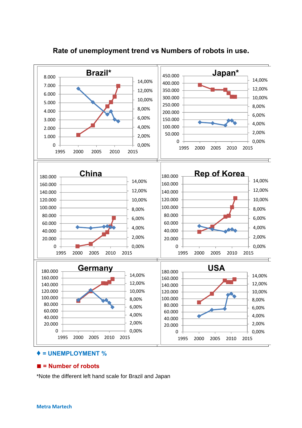

## **Rate of unemployment trend vs Numbers of robots in use.**

#### **♦ = UNEMPLOYMENT %**

#### **■ = Number of robots**

\*Note the different left hand scale for Brazil and Japan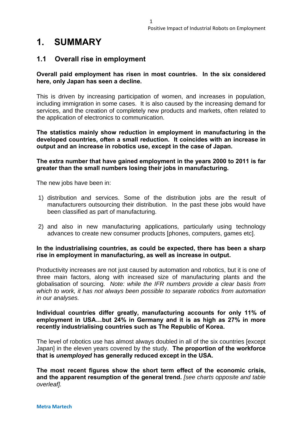# **1. SUMMARY**

## **1.1 Overall rise in employment**

#### **Overall paid employment has risen in most countries. In the six considered here, only Japan has seen a decline.**

This is driven by increasing participation of women, and increases in population, including immigration in some cases. It is also caused by the increasing demand for services, and the creation of completely new products and markets, often related to the application of electronics to communication.

**The statistics mainly show reduction in employment in manufacturing in the developed countries, often a small reduction. It coincides with an increase in output and an increase in robotics use, except in the case of Japan.** 

**The extra number that have gained employment in the years 2000 to 2011 is far greater than the small numbers losing their jobs in manufacturing.** 

The new jobs have been in:

- 1) distribution and services. Some of the distribution jobs are the result of manufacturers outsourcing their distribution. In the past these jobs would have been classified as part of manufacturing.
- 2) and also in new manufacturing applications, particularly using technology advances to create new consumer products [phones, computers, games etc].

#### **In the industrialising countries, as could be expected, there has been a sharp rise in employment in manufacturing, as well as increase in output.**

Productivity increases are not just caused by automation and robotics, but it is one of three main factors, along with increased size of manufacturing plants and the globalisation of sourcing. *Note: while the IFR numbers provide a clear basis from which to work, it has not always been possible to separate robotics from automation in our analyses.* 

#### **Individual countries differ greatly, manufacturing accounts for only 11% of employment in USA…but 24% in Germany and it is as high as 27% in more recently industrialising countries such as The Republic of Korea.**

The level of robotics use has almost always doubled in all of the six countries [except Japan] in the eleven years covered by the study. **The proportion of the workforce that is** *unemployed* **has generally reduced except in the USA.** 

**The most recent figures show the short term effect of the economic crisis, and the apparent resumption of the general trend.** *[see charts opposite and table overleaf].*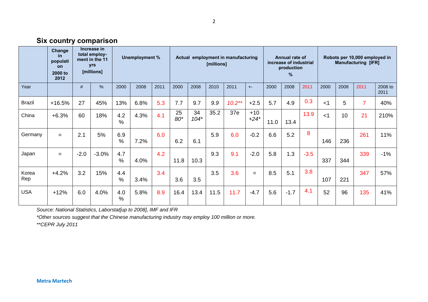**Six country comparison**

|               | Change<br>in<br>populati<br><b>on</b><br>2000 to<br>2012 |        | Increase in<br>total employ-<br>ment in the 11<br><b>yrs</b><br>[millions] |             | Unemployment % |      |           |              | [millions] | Actual employment in manufacturing |                 |      | Annual rate of<br>increase of industrial<br>production<br>$\%$ |        |        |      | Robots per 10,000 employed in<br><b>Manufacturing [IFR]</b> |                 |
|---------------|----------------------------------------------------------|--------|----------------------------------------------------------------------------|-------------|----------------|------|-----------|--------------|------------|------------------------------------|-----------------|------|----------------------------------------------------------------|--------|--------|------|-------------------------------------------------------------|-----------------|
| Year          |                                                          | #      | %                                                                          | 2000        | 2008           | 2011 | 2000      | 2008         | 2010       | 2011                               | $+ -$           | 2000 | 2008                                                           | 2011   | 2000   | 2008 | 2011                                                        | 2008 to<br>2011 |
| <b>Brazil</b> | $+16.5%$                                                 | 27     | 45%                                                                        | 13%         | 6.8%           | 5.3  | 7.7       | 9.7          | 9.9        | $10.2***$                          | $+2.5$          | 5.7  | 4.9                                                            | 0.3    | $<$ 1  | 5    | $\overline{7}$                                              | 40%             |
| China         | $+6.3%$                                                  | 60     | 18%                                                                        | 4.2<br>$\%$ | 4.3%           | 4.1  | 25<br>80* | 34<br>$104*$ | 35.2       | 37e                                | $+10$<br>$+24*$ | 11.0 | 13.4                                                           | 13.9   | $\lt1$ | 10   | 21                                                          | 210%            |
| Germany       | $=$                                                      | 2.1    | 5%                                                                         | 6.9<br>$\%$ | 7.2%           | 6.0  | 6.2       | 6.1          | 5.9        | 6.0                                | $-0.2$          | 6.6  | 5.2                                                            | 8      | 146    | 236  | 261                                                         | 11%             |
| Japan         | $=$                                                      | $-2.0$ | $-3.0%$                                                                    | 4.7<br>$\%$ | 4.0%           | 4.2  | 11.8      | 10.3         | 9.3        | 9.1                                | $-2.0$          | 5.8  | 1.3                                                            | $-3.5$ | 337    | 344  | 339                                                         | $-1%$           |
| Korea<br>Rep  | $+4.2%$                                                  | 3.2    | 15%                                                                        | 4.4<br>$\%$ | 3.4%           | 3.4  | 3.6       | 3.5          | 3.5        | 3.6                                | $=$             | 8.5  | 5.1                                                            | 3.8    | 107    | 221  | 347                                                         | 57%             |
| <b>USA</b>    | $+12%$                                                   | 6.0    | 4.0%                                                                       | 4.0<br>$\%$ | 5.8%           | 8.9  | 16.4      | 13.4         | 11.5       | 11.7                               | $-4.7$          | 5.6  | $-1.7$                                                         | 4.1    | 52     | 96   | 135                                                         | 41%             |

*Source: National Statistics, Laborstat[up to 2008], IMF and IFR* 

*\*Other sources suggest that the Chinese manufacturing industry may employ 100 million or more.* 

*\*\*CEPR July 2011*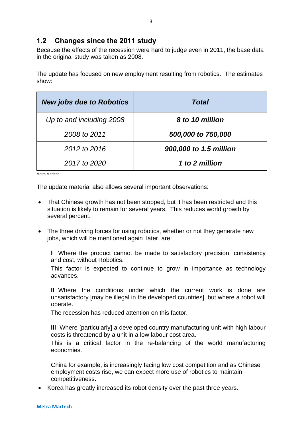## **1.2 Changes since the 2011 study**

Because the effects of the recession were hard to judge even in 2011, the base data in the original study was taken as 2008.

The update has focused on new employment resulting from robotics. The estimates show:

| <b>New jobs due to Robotics</b> | <b>Total</b>           |
|---------------------------------|------------------------|
| Up to and including 2008        | 8 to 10 million        |
| 2008 to 2011                    | 500,000 to 750,000     |
| 2012 to 2016                    | 900,000 to 1.5 million |
| 2017 to 2020                    | 1 to 2 million         |

Metra Martech

The update material also allows several important observations:

- That Chinese growth has not been stopped, but it has been restricted and this situation is likely to remain for several years. This reduces world growth by several percent.
- The three driving forces for using robotics, whether or not they generate new jobs, which will be mentioned again later, are:

**I** Where the product cannot be made to satisfactory precision, consistency and cost, without Robotics.

This factor is expected to continue to grow in importance as technology advances.

**II** Where the conditions under which the current work is done are unsatisfactory [may be illegal in the developed countries], but where a robot will operate.

The recession has reduced attention on this factor.

**III** Where [particularly] a developed country manufacturing unit with high labour costs is threatened by a unit in a low labour cost area.

This is a critical factor in the re-balancing of the world manufacturing economies.

China for example, is increasingly facing low cost competition and as Chinese employment costs rise, we can expect more use of robotics to maintain competitiveness.

• Korea has greatly increased its robot density over the past three years.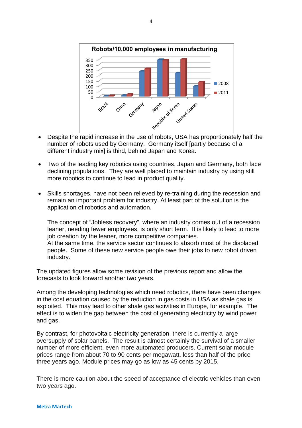

- Despite the rapid increase in the use of robots, USA has proportionately half the number of robots used by Germany. Germany itself [partly because of a different industry mix] is third, behind Japan and Korea.
- Two of the leading key robotics using countries, Japan and Germany, both face declining populations. They are well placed to maintain industry by using still more robotics to continue to lead in product quality.
- Skills shortages, have not been relieved by re-training during the recession and remain an important problem for industry. At least part of the solution is the application of robotics and automation.

The concept of "Jobless recovery", where an industry comes out of a recession leaner, needing fewer employees, is only short term. It is likely to lead to more job creation by the leaner, more competitive companies. At the same time, the service sector continues to absorb most of the displaced people. Some of these new service people owe their jobs to new robot driven industry.

The updated figures allow some revision of the previous report and allow the forecasts to look forward another two years.

Among the developing technologies which need robotics, there have been changes in the cost equation caused by the reduction in gas costs in USA as shale gas is exploited. This may lead to other shale gas activities in Europe, for example. The effect is to widen the gap between the cost of generating electricity by wind power and gas.

By contrast, for photovoltaic electricity generation, there is currently a large oversupply of solar panels. The result is almost certainly the survival of a smaller number of more efficient, even more automated producers. Current solar module prices range from about 70 to 90 cents per megawatt, less than half of the price three years ago. Module prices may go as low as 45 cents by 2015.

There is more caution about the speed of acceptance of electric vehicles than even two years ago.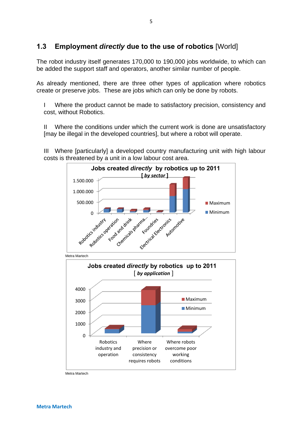# **1.3 Employment** *directly* **due to the use of robotics** [World]

The robot industry itself generates 170,000 to 190,000 jobs worldwide, to which can be added the support staff and operators, another similar number of people.

As already mentioned, there are three other types of application where robotics create or preserve jobs. These are jobs which can only be done by robots.

I Where the product cannot be made to satisfactory precision, consistency and cost, without Robotics.

II Where the conditions under which the current work is done are unsatisfactory [may be illegal in the developed countries], but where a robot will operate.

III Where [particularly] a developed country manufacturing unit with high labour costs is threatened by a unit in a low labour cost area.



Metra Martech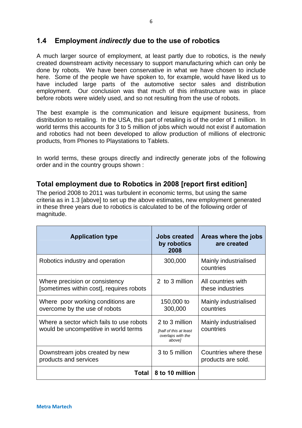## **1.4 Employment** *indirectly* **due to the use of robotics**

A much larger source of employment, at least partly due to robotics, is the newly created downstream activity necessary to support manufacturing which can only be done by robots. We have been conservative in what we have chosen to include here. Some of the people we have spoken to, for example, would have liked us to have included large parts of the automotive sector sales and distribution employment. Our conclusion was that much of this infrastructure was in place before robots were widely used, and so not resulting from the use of robots.

The best example is the communication and leisure equipment business, from distribution to retailing. In the USA, this part of retailing is of the order of 1 million. In world terms this accounts for 3 to 5 million of jobs which would not exist if automation and robotics had not been developed to allow production of millions of electronic products, from Phones to Playstations to Tablets.

In world terms, these groups directly and indirectly generate jobs of the following order and in the country groups shown :

# **Total employment due to Robotics in 2008 [report first edition]**

The period 2008 to 2011 was turbulent in economic terms, but using the same criteria as in 1.3 [above] to set up the above estimates, new employment generated in these three years due to robotics is calculated to be of the following order of magnitude.

| <b>Application type</b>                                                           | <b>Jobs created</b><br>by robotics<br>2008                              | Areas where the jobs<br>are created         |
|-----------------------------------------------------------------------------------|-------------------------------------------------------------------------|---------------------------------------------|
| Robotics industry and operation                                                   | 300,000                                                                 | Mainly industrialised<br>countries          |
| Where precision or consistency<br>[sometimes within cost], requires robots        | 2 to 3 million                                                          | All countries with<br>these industries      |
| Where poor working conditions are<br>overcome by the use of robots                | 150,000 to<br>300,000                                                   | Mainly industrialised<br>countries          |
| Where a sector which fails to use robots<br>would be uncompetitive in world terms | 2 to 3 million<br>[half of this at least<br>overlaps with the<br>abovel | Mainly industrialised<br>countries          |
| Downstream jobs created by new<br>products and services                           | 3 to 5 million                                                          | Countries where these<br>products are sold. |
| Total                                                                             | 8 to 10 million                                                         |                                             |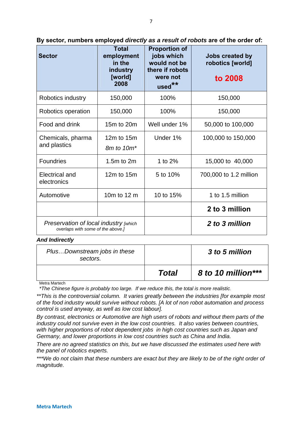| <b>Sector</b>                                                               | <b>Total</b><br>employment<br>in the<br><b>industry</b><br>[world]<br>2008 | <b>Proportion of</b><br>jobs which<br>would not be<br>there if robots<br>were not<br>used** | <b>Jobs created by</b><br>robotics [world]<br>to 2008 |
|-----------------------------------------------------------------------------|----------------------------------------------------------------------------|---------------------------------------------------------------------------------------------|-------------------------------------------------------|
| Robotics industry                                                           | 150,000                                                                    | 100%                                                                                        | 150,000                                               |
| Robotics operation                                                          | 150,000                                                                    | 100%                                                                                        | 150,000                                               |
| Food and drink                                                              | 15m to 20m                                                                 | Well under 1%                                                                               | 50,000 to 100,000                                     |
| Chemicals, pharma<br>and plastics                                           | 12m to 15m<br>8 $m$ to 10 $m^*$                                            | Under 1%                                                                                    | 100,000 to 150,000                                    |
| <b>Foundries</b>                                                            | 1.5 $m$ to 2 $m$                                                           | 1 to 2%                                                                                     | 15,000 to 40,000                                      |
| <b>Electrical and</b><br>electronics                                        | 12m to 15m                                                                 | 5 to 10%                                                                                    | 700,000 to 1.2 million                                |
| Automotive                                                                  | 10m to 12 m                                                                | 10 to 15%                                                                                   | 1 to 1.5 million                                      |
|                                                                             |                                                                            |                                                                                             | 2 to 3 million                                        |
| Preservation of local industry [which]<br>overlaps with some of the above.] |                                                                            |                                                                                             | 2 to 3 million                                        |

#### **By sector, numbers employed** *directly as a result of robots* **are of the order of:**

#### *And Indirectly*

| PlusDownstream jobs in these<br>sectors. |              | 3 to 5 million     |
|------------------------------------------|--------------|--------------------|
|                                          | <b>Total</b> | 8 to 10 million*** |

Metra Martech

*\*The Chinese figure is probably too large. If we reduce this, the total is more realistic*.

*\*\*This is the controversial column. It varies greatly between the industries [for example most of the food industry would survive without robots. [A lot of non robot automation and process control is used anyway, as well as low cost labour].* 

*By contrast, electronics or Automotive are high users of robots and without them parts of the industry could not survive even in the low cost countries. It also varies between countries, with higher proportions of robot dependent jobs in high cost countries such as Japan and Germany, and lower proportions in low cost countries such as China and India.* 

*There are no agreed statistics on this, but we have discussed the estimates used here with the panel of robotics experts.* 

*\*\*\*We do not claim that these numbers are exact but they are likely to be of the right order of magnitude.*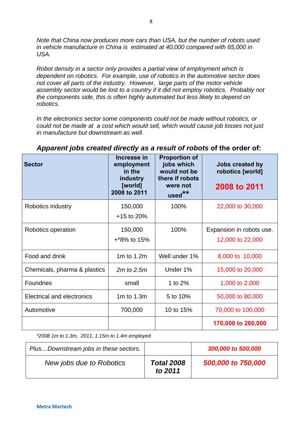*Note that China now produces more cars than USA, but the number of robots used in vehicle manufacture in China is estimated at 40,000 compared with 65,000 in USA.* 

*Robot density in a sector only provides a partial view of employment which is dependent on robotics. For example, use of robotics in the automotive sector does not cover all parts of the industry. However, large parts of the motor vehicle assembly sector would be lost to a country if it did not employ robotics. Probably not the components side, this is often highly automated but less likely to depend on robotics.* 

*In the electronics sector some components could not be made without robotics, or could not be made at a cost which would sell, which would cause job losses not just in manufacture but downstream as well.* 

| <b>Sector</b>                | Increase in<br>employment<br>in the<br>industry<br>[world]<br>2008 to 2011 | <b>Proportion of</b><br>jobs which<br>would not be<br>there if robots<br>were not<br>used** | Jobs created by<br>robotics [world]<br>2008 to 2011 |
|------------------------------|----------------------------------------------------------------------------|---------------------------------------------------------------------------------------------|-----------------------------------------------------|
| Robotics industry            | 150,000<br>$+15$ to 20%                                                    | 100%                                                                                        | 22,000 to 30,000                                    |
| Robotics operation           | 150,000<br>$+$ *8% to 15%                                                  | 100%                                                                                        | Expansion in robots use.<br>12,000 to 22,000        |
| Food and drink               | 1 $m$ to 1.2 $m$                                                           | Well under 1%                                                                               | 8,000 to 10,000                                     |
| Chemicals, pharma & plastics | $2m$ to $2.5m$                                                             | Under 1%                                                                                    | 15,000 to 20,000                                    |
| <b>Foundries</b>             | small                                                                      | 1 to 2%                                                                                     | 1,000 to 2,000                                      |
| Electrical and electronics   | 1 $m$ to 1.3 $m$                                                           | 5 to 10%                                                                                    | 50,000 to 80,000                                    |
| Automotive                   | 700,000                                                                    | 10 to 15%                                                                                   | 70,000 to 100,000                                   |
|                              |                                                                            |                                                                                             | 170,000 to 260,000                                  |

## *Apparent jobs created directly as a result of robots* **of the order of:**

*\*2008 1m to 1.3m, 2011, 1.15m to 1.4m employed* 

| PlusDownstream jobs in these sectors. |                              | 300,000 to 500,000 |
|---------------------------------------|------------------------------|--------------------|
| New jobs due to Robotics              | <b>Total 2008</b><br>to 2011 | 500,000 to 750,000 |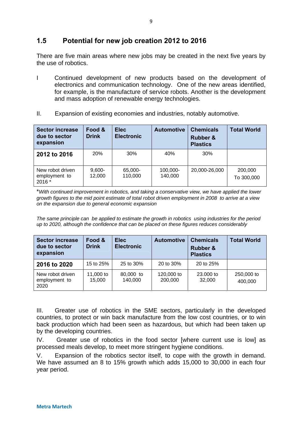# **1.5 Potential for new job creation 2012 to 2016**

There are five main areas where new jobs may be created in the next five years by the use of robotics.

- I Continued development of new products based on the development of electronics and communication technology. One of the new areas identified, for example, is the manufacture of service robots. Another is the development and mass adoption of renewable energy technologies.
- II. Expansion of existing economies and industries, notably automotive.

| <b>Sector increase</b><br>due to sector<br>expansion | Food &<br><b>Drink</b> | <b>Elec</b><br><b>Electronic</b> | <b>Automotive</b>   | <b>Chemicals</b><br><b>Rubber &amp;</b><br><b>Plastics</b> | <b>Total World</b>    |
|------------------------------------------------------|------------------------|----------------------------------|---------------------|------------------------------------------------------------|-----------------------|
| 2012 to 2016                                         | 20%                    | 30%                              | 40%                 | 30%                                                        |                       |
| New robot driven<br>employment to<br>2016 *          | $9,600 -$<br>12,000    | 65,000-<br>110,000               | 100,000-<br>140,000 | 20,000-26,000                                              | 200,000<br>To 300,000 |

\**With continued improvement in robotics, and taking a conservative view, we have applied the lower growth figures to the mid point estimate of total robot driven employment in 2008 to arrive at a view on the expansion due to general economic expansion* 

*The same principle can be applied to estimate the growth in robotics using industries for the period up to 2020, although the confidence that can be placed on these figures reduces considerably* 

| <b>Sector increase</b><br>due to sector<br>expansion | Food &<br><b>Drink</b> | <b>Elec</b><br><b>Electronic</b> | <b>Automotive</b>     | <b>Chemicals</b><br><b>Rubber &amp;</b><br><b>Plastics</b> | <b>Total World</b>    |
|------------------------------------------------------|------------------------|----------------------------------|-----------------------|------------------------------------------------------------|-----------------------|
| 2016 to 2020                                         | 15 to 25%              | 25 to 30%                        | 20 to 30%             | 20 to 25%                                                  |                       |
| New robot driven<br>employment to<br>2020            | 11,000 to<br>15,000    | 80,000 to<br>140,000             | 120,000 to<br>200,000 | 23.000 to<br>32,000                                        | 250,000 to<br>400,000 |

III. Greater use of robotics in the SME sectors, particularly in the developed countries, to protect or win back manufacture from the low cost countries, or to win back production which had been seen as hazardous, but which had been taken up by the developing countries.

IV. Greater use of robotics in the food sector [where current use is low] as processed meals develop, to meet more stringent hygiene conditions.

V. Expansion of the robotics sector itself, to cope with the growth in demand. We have assumed an 8 to 15% growth which adds 15,000 to 30,000 in each four year period.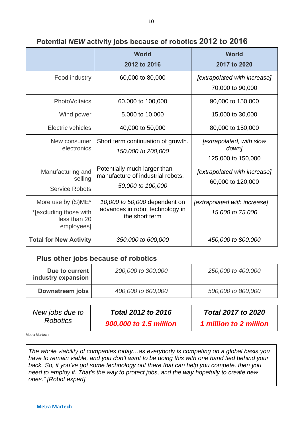|                                                                            | <b>World</b><br>2012 to 2016                                                           | <b>World</b><br>2017 to 2020                                   |
|----------------------------------------------------------------------------|----------------------------------------------------------------------------------------|----------------------------------------------------------------|
| Food industry                                                              | 60,000 to 80,000                                                                       | [extrapolated with increase]<br>70,000 to 90,000               |
| PhotoVoltaics                                                              | 60,000 to 100,000                                                                      | 90,000 to 150,000                                              |
| Wind power                                                                 | 5,000 to 10,000                                                                        | 15,000 to 30,000                                               |
| Electric vehicles                                                          | 40,000 to 50,000                                                                       | 80,000 to 150,000                                              |
| New consumer<br>electronics                                                | Short term continuation of growth.<br>150,000 to 200,000                               | <i>[extrapolated, with slow</i><br>down]<br>125,000 to 150,000 |
| Manufacturing and<br>selling<br><b>Service Robots</b>                      | Potentially much larger than<br>manufacture of industrial robots.<br>50,000 to 100,000 | [extrapolated with increase]<br>60,000 to 120,000              |
| More use by (S)ME*<br>*[excluding those with<br>less than 20<br>employees] | 10,000 to 50,000 dependent on<br>advances in robot technology in<br>the short term     | [extrapolated with increase]<br>15,000 to 75,000               |
| <b>Total for New Activity</b>                                              | 350,000 to 600,000                                                                     | 450,000 to 800,000                                             |

# **Potential** *NEW* **activity jobs because of robotics 2012 to 2016**

## **Plus other jobs because of robotics**

| Due to current<br>industry expansion | 200,000 to 300,000 | 250,000 to 400,000 |
|--------------------------------------|--------------------|--------------------|
| Downstream jobs                      | 400,000 to 600,000 | 500,000 to 800,000 |

| New jobs due to | Total 2012 to 2016     | Total 2017 to 2020     |
|-----------------|------------------------|------------------------|
| <b>Robotics</b> | 900,000 to 1.5 million | 1 million to 2 million |

Metra Martech

*The whole viability of companies today…as everybody is competing on a global basis you have to remain viable, and you don't want to be doing this with one hand tied behind your back. So, if you've got some technology out there that can help you compete, then you need to employ it. That's the way to protect jobs, and the way hopefully to create new ones." [Robot expert].*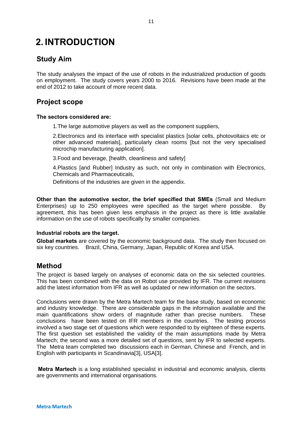# **2. INTRODUCTION**

# **Study Aim**

The study analyses the impact of the use of robots in the industrialized production of goods on employment. The study covers years 2000 to 2016. Revisions have been made at the end of 2012 to take account of more recent data.

## **Project scope**

#### **The sectors considered are:**

1.The large automotive players as well as the component suppliers,

2.Electronics and its interface with specialist plastics [solar cells, photovoltaics etc or other advanced materials], particularly clean rooms [but not the very specialised microchip manufacturing application].

3.Food and beverage, [health, cleanliness and safety]

4.Plastics [and Rubber] Industry as such, not only in combination with Electronics, Chemicals and Pharmaceuticals,

Definitions of the industries are given in the appendix.

**Other than the automotive sector, the brief specified that SMEs** (Small and Medium Enterprises) up to 250 employees were specified as the target where possible. By agreement, this has been given less emphasis in the project as there is little available information on the use of robots specifically by smaller companies.

#### **Industrial robots are the target.**

**Global markets** are covered by the economic background data. The study then focused on six key countries. Brazil, China, Germany, Japan, Republic of Korea and USA.

## **Method**

The project is based largely on analyses of economic data on the six selected countries. This has been combined with the data on Robot use provided by IFR. The current revisions add the latest information from IFR as well as updated or new information on the sectors.

Conclusions were drawn by the Metra Martech team for the base study, based on economic and industry knowledge. There are considerable gaps in the information available and the main quantifications show orders of magnitude rather than precise numbers. These conclusions have been tested on IFR members in the countries. The testing process involved a two stage set of questions which were responded to by eighteen of these experts. The first question set established the validity of the main assumptions made by Metra Martech; the second was a more detailed set of questions, sent by IFR to selected experts. The Metra team completed two discussions each in German, Chinese and French, and in English with participants in Scandinavia[3], USA[3].

 **Metra Martech** is a long established specialist in industrial and economic analysis, clients are governments and international organisations.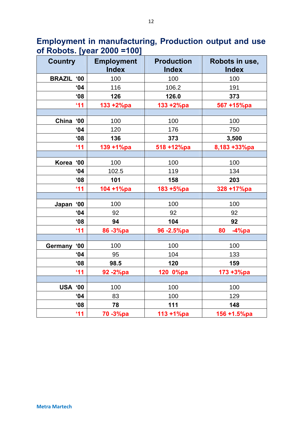# **Employment in manufacturing, Production output and use of Robots. [year 2000 =100]**

| ь.<br><b>Country</b>          | <b>Employment</b><br><b>Index</b> | <b>Production</b><br><b>Index</b> | Robots in use,<br><b>Index</b> |
|-------------------------------|-----------------------------------|-----------------------------------|--------------------------------|
| <b>BRAZIL</b><br>$^{\circ}00$ | 100                               | 100                               | 100                            |
| 64                            | 116                               | 106.2                             | 191                            |
| 60'                           | 126                               | 126.0                             | 373                            |
| $^{\prime}$ 11                | 133 +2%pa                         | 133 +2%pa                         | 567 +15%pa                     |
|                               |                                   |                                   |                                |
| China<br>$^{\circ}00$         | 100                               | 100                               | 100                            |
| 64                            | 120                               | 176                               | 750                            |
| 60'                           | 136                               | 373                               | 3,500                          |
| $^{\prime}$ 11                | 139 +1%pa                         | 518 +12%pa                        | 8,183 +33%pa                   |
|                               |                                   |                                   |                                |
| Korea '00                     | 100                               | 100                               | 100                            |
| 64                            | 102.5                             | 119                               | 134                            |
| <b>'08</b>                    | 101                               | 158                               | 203                            |
| $^{\circ}11$                  | $104 + 1\%pa$                     | $183 + 5%pa$                      | 328 +17%pa                     |
|                               |                                   |                                   |                                |
| $^{\circ}00$<br>Japan         | 100                               | 100                               | 100                            |
| 64                            | 92                                | 92                                | 92                             |
| 60 <sup>°</sup>               | 94                                | 104                               | 92                             |
| $^{\prime}$ 11                | 86-3%pa                           | 96 - 2.5% pa                      | -4%pa<br>80                    |
|                               |                                   |                                   |                                |
| $^{\circ}00$<br>Germany       | 100                               | 100                               | 100                            |
| 64                            | 95                                | 104                               | 133                            |
| <b>'08</b>                    | 98.5                              | 120                               | 159                            |
| $^{\prime}$ 11                | 92 - 2% pa                        | 120 0%pa                          | 173 +3%pa                      |
|                               |                                   |                                   |                                |
| <b>USA</b><br>$^{\circ}00$    | 100                               | 100                               | 100                            |
| 64                            | 83                                | 100                               | 129                            |
| 60 <sup>°</sup>               | 78                                | 111                               | 148                            |
| $^{\prime}$ 11                | 70 - 3% pa                        | 113 +1%pa                         | 156 +1.5%pa                    |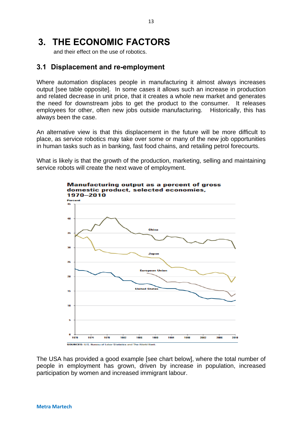# **3. THE ECONOMIC FACTORS**

and their effect on the use of robotics.

### **3.1 Displacement and re-employment**

Where automation displaces people in manufacturing it almost always increases output [see table opposite]. In some cases it allows such an increase in production and related decrease in unit price, that it creates a whole new market and generates the need for downstream jobs to get the product to the consumer. It releases employees for other, often new jobs outside manufacturing. Historically, this has always been the case.

An alternative view is that this displacement in the future will be more difficult to place, as service robotics may take over some or many of the new job opportunities in human tasks such as in banking, fast food chains, and retailing petrol forecourts.

What is likely is that the growth of the production, marketing, selling and maintaining service robots will create the next wave of employment.



The USA has provided a good example [see chart below], where the total number of people in employment has grown, driven by increase in population, increased participation by women and increased immigrant labour.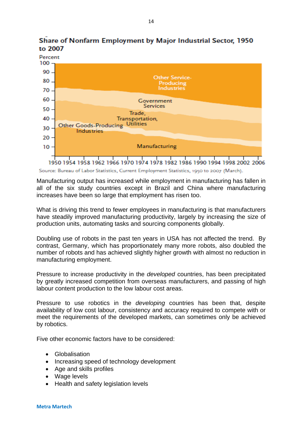

# Share of Nonfarm Employment by Major Industrial Sector, 1950 to 2007

Source: Bureau of Labor Statistics, Current Employment Statistics, 1950 to 2007 (March).

Manufacturing output has increased while employment in manufacturing has fallen in all of the six study countries except in Brazil and China where manufacturing increases have been so large that employment has risen too.

What is driving this trend to fewer employees in manufacturing is that manufacturers have steadily improved manufacturing productivity, largely by increasing the size of production units, automating tasks and sourcing components globally.

Doubling use of robots in the past ten years in USA has not affected the trend. By contrast, Germany, which has proportionately many more robots, also doubled the number of robots and has achieved slightly higher growth with almost no reduction in manufacturing employment.

Pressure to increase productivity in the *developed* countries, has been precipitated by greatly increased competition from overseas manufacturers, and passing of high labour content production to the low labour cost areas.

Pressure to use robotics in the *developing* countries has been that, despite availability of low cost labour, consistency and accuracy required to compete with or meet the requirements of the developed markets, can sometimes only be achieved by robotics.

Five other economic factors have to be considered:

- Globalisation
- Increasing speed of technology development
- Age and skills profiles
- Wage levels
- Health and safety legislation levels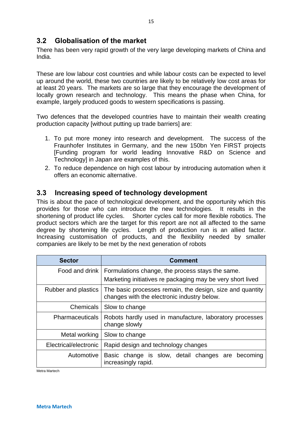## **3.2 Globalisation of the market**

There has been very rapid growth of the very large developing markets of China and India.

These are low labour cost countries and while labour costs can be expected to level up around the world, these two countries are likely to be relatively low cost areas for at least 20 years. The markets are so large that they encourage the development of locally grown research and technology. This means the phase when China, for example, largely produced goods to western specifications is passing.

Two defences that the developed countries have to maintain their wealth creating production capacity [without putting up trade barriers] are:

- 1. To put more money into research and development. The success of the Fraunhofer Institutes in Germany, and the new 150bn Yen FIRST projects [Funding program for world leading Innovative R&D on Science and Technology] in Japan are examples of this.
- 2. To reduce dependence on high cost labour by introducing automation when it offers an economic alternative.

### **3.3 Increasing speed of technology development**

This is about the pace of technological development, and the opportunity which this provides for those who can introduce the new technologies. It results in the shortening of product life cycles. Shorter cycles call for more flexible robotics. The product sectors which are the target for this report are not all affected to the same degree by shortening life cycles. Length of production run is an allied factor. Increasing customisation of products, and the flexibility needed by smaller companies are likely to be met by the next generation of robots

| <b>Sector</b>          | <b>Comment</b>                                                                                           |  |  |
|------------------------|----------------------------------------------------------------------------------------------------------|--|--|
| Food and drink         | Formulations change, the process stays the same.                                                         |  |  |
|                        | Marketing initiatives re packaging may be very short lived                                               |  |  |
| Rubber and plastics    | The basic processes remain, the design, size and quantity<br>changes with the electronic industry below. |  |  |
| Chemicals              | Slow to change                                                                                           |  |  |
| <b>Pharmaceuticals</b> | Robots hardly used in manufacture, laboratory processes<br>change slowly                                 |  |  |
| Metal working          | Slow to change                                                                                           |  |  |
| Electrical/electronic  | Rapid design and technology changes                                                                      |  |  |
| Automotive             | Basic change is slow, detail changes are becoming<br>increasingly rapid.                                 |  |  |

Metra Martech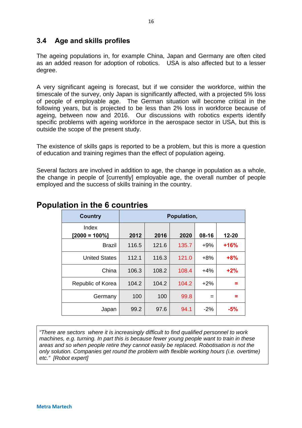# **3.4 Age and skills profiles**

The ageing populations in, for example China, Japan and Germany are often cited as an added reason for adoption of robotics. USA is also affected but to a lesser degree.

A very significant ageing is forecast, but if we consider the workforce, within the timescale of the survey, only Japan is significantly affected, with a projected 5% loss of people of employable age. The German situation will become critical in the following years, but is projected to be less than 2% loss in workforce because of ageing, between now and 2016. Our discussions with robotics experts identify specific problems with ageing workforce in the aerospace sector in USA, but this is outside the scope of the present study.

The existence of skills gaps is reported to be a problem, but this is more a question of education and training regimes than the effect of population ageing.

Several factors are involved in addition to age, the change in population as a whole, the change in people of [currently] employable age, the overall number of people employed and the success of skills training in the country.

| <b>Country</b>            | Population, |       |       |       |        |
|---------------------------|-------------|-------|-------|-------|--------|
| Index<br>$[2000 = 100\%]$ | 2012        | 2016  | 2020  | 08-16 | 12-20  |
| <b>Brazil</b>             | 116.5       | 121.6 | 135.7 | $+9%$ | $+16%$ |
| <b>United States</b>      | 112.1       | 116.3 | 121.0 | $+8%$ | $+8%$  |
| China                     | 106.3       | 108.2 | 108.4 | $+4%$ | $+2%$  |
| Republic of Korea         | 104.2       | 104.2 | 104.2 | $+2%$ |        |
| Germany                   | 100         | 100   | 99.8  | $=$   |        |
| Japan                     | 99.2        | 97.6  | 94.1  | $-2%$ | $-5%$  |

# **Population in the 6 countries**

*"There are sectors where it is increasingly difficult to find qualified personnel to work machines, e.g. turning. In part this is because fewer young people want to train in these areas and so when people retire they cannot easily be replaced. Robotisation is not the only solution. Companies get round the problem with flexible working hours (i.e. overtime) etc." [Robot expert]*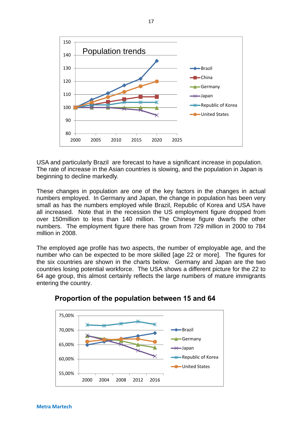

USA and particularly Brazil are forecast to have a significant increase in population. The rate of increase in the Asian countries is slowing, and the population in Japan is beginning to decline markedly.

These changes in population are one of the key factors in the changes in actual numbers employed. In Germany and Japan, the change in population has been very small as has the numbers employed while Brazil, Republic of Korea and USA have all increased. Note that in the recession the US employment figure dropped from over 150million to less than 140 million. The Chinese figure dwarfs the other numbers. The employment figure there has grown from 729 million in 2000 to 784 million in 2008.

The employed age profile has two aspects, the number of employable age, and the number who can be expected to be more skilled [age 22 or more]. The figures for the six countries are shown in the charts below. Germany and Japan are the two countries losing potential workforce. The USA shows a different picture for the 22 to 64 age group, this almost certainly reflects the large numbers of mature immigrants entering the country.



## **Proportion of the population between 15 and 64**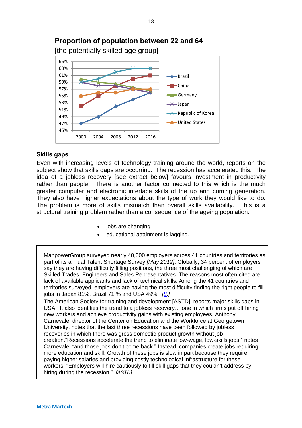

# **Proportion of population between 22 and 64**

#### **Skills gaps**

Even with increasing levels of technology training around the world, reports on the subject show that skills gaps are occurring. The recession has accelerated this. The idea of a jobless recovery [see extract below] favours investment in productivity rather than people. There is another factor connected to this which is the much greater computer and electronic interface skills of the up and coming generation. They also have higher expectations about the type of work they would like to do. The problem is more of skills mismatch than overall skills availability. This is a structural training problem rather than a consequence of the ageing population.

- jobs are changing
- educational attainment is lagging.

ManpowerGroup surveyed nearly 40,000 employers across 41 countries and territories as part of its annual Talent Shortage Survey *[May 2012]*. Globally, 34 percent of employers say they are having difficulty filling positions, the three most challenging of which are Skilled Trades, Engineers and Sales Representatives. The reasons most often cited are lack of available applicants and lack of technical skills. Among the 41 countries and territories surveyed, employers are having the most difficulty finding the right people to fill jobs in Japan 81%, Brazil 71 % and USA 49%. *[8.]*

The American Society for training and development [ASTD] reports major skills gaps in USA. It also identifies the trend to a jobless recovery… one in which firms put off hiring new workers and achieve productivity gains with existing employees. Anthony Carnevale, director of the Center on Education and the Workforce at Georgetown University, notes that the last three recessions have been followed by jobless recoveries in which there was gross domestic product growth without job creation."Recessions accelerate the trend to eliminate low-wage, low-skills jobs," notes Carnevale, "and those jobs don't come back." Instead, companies create jobs requiring more education and skill. Growth of these jobs is slow in part because they require paying higher salaries and providing costly technological infrastructure for these workers. "Employers will hire cautiously to fill skill gaps that they couldn't address by hiring during the recession," *[ASTD]*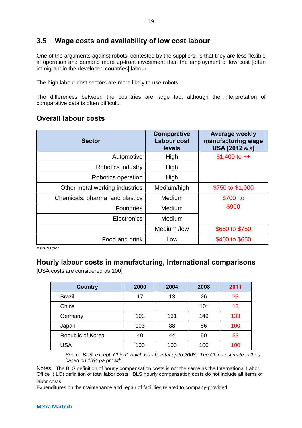# **3.5 Wage costs and availability of low cost labour**

One of the arguments against robots, contested by the suppliers, is that they are less flexible in operation and demand more up-front investment than the employment of low cost [often immigrant in the developed countries] labour.

The high labour cost sectors are more likely to use robots.

The differences between the countries are large too, although the interpretation of comparative data is often difficult.

## **Overall labour costs**

| <b>Sector</b>                  | <b>Comparative</b><br><b>Labour cost</b><br><b>levels</b> | <b>Average weekly</b><br>manufacturing wage<br><b>USA [2012 BLS]</b> |
|--------------------------------|-----------------------------------------------------------|----------------------------------------------------------------------|
| Automotive                     | High                                                      | $$1,400$ to $++$                                                     |
| Robotics industry              | High                                                      |                                                                      |
| Robotics operation             | High                                                      |                                                                      |
| Other metal working industries | Medium/high                                               | \$750 to \$1,000                                                     |
| Chemicals, pharma and plastics | Medium                                                    | \$700 to                                                             |
| <b>Foundries</b>               | Medium                                                    | \$900                                                                |
| Electronics                    | Medium                                                    |                                                                      |
|                                | Medium /low                                               | \$650 to \$750                                                       |
| Food and drink                 | Low                                                       | \$400 to \$650                                                       |

Metra Martech

## **Hourly labour costs in manufacturing, International comparisons**

[USA costs are considered as 100] 

| <b>Country</b>    | 2000 | 2004 | 2008  | 2011 |
|-------------------|------|------|-------|------|
| <b>Brazil</b>     | 17   | 13   | 26    | 33   |
| China             |      |      | $10*$ | 13   |
| Germany           | 103  | 131  | 149   | 133  |
| Japan             | 103  | 88   | 86    | 100  |
| Republic of Korea | 40   | 44   | 50    | 53   |
| <b>USA</b>        | 100  | 100  | 100   | 100  |

*Source BLS, except China\* which is Laborstat up to 2008, The China estimate is then based on 15% pa growth.* 

Notes: The BLS definition of hourly compensation costs is not the same as the International Labor Office (ILO) definition of total labor costs. BLS hourly compensation costs do not include all items of labor costs.

Expenditures on the maintenance and repair of facilities related to company-provided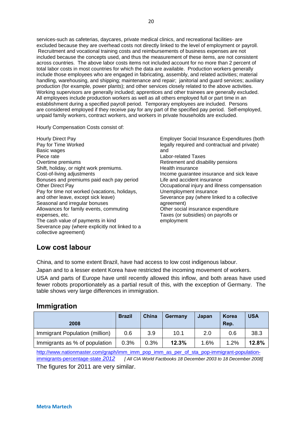services-such as cafeterias, daycares, private medical clinics, and recreational facilities- are excluded because they are overhead costs not directly linked to the level of employment or payroll. Recruitment and vocational training costs and reimbursements of business expenses are not included because the concepts used, and thus the measurement of these items, are not consistent across countries. The above labor costs items not included account for no more than 2 percent of total labor costs in most countries for which the data are available. Production workers generally include those employees who are engaged in fabricating, assembly, and related activities; material handling, warehousing, and shipping; maintenance and repair; janitorial and guard services; auxiliary production (for example, power plants); and other services closely related to the above activities. Working supervisors are generally included; apprentices and other trainees are generally excluded. All employees include production workers as well as all others employed full or part time in an establishment during a specified payroll period. Temporary employees are included. Persons are considered employed if they receive pay for any part of the specified pay period. Self-employed, unpaid family workers, contract workers, and workers in private households are excluded.

Hourly Compensation Costs consist of:

Hourly Direct Pay Pay for Time Worked Basic wages Piece rate Overtime premiums Shift, holiday, or night work premiums. Cost-of-living adjustments Bonuses and premiums paid each pay period Other Direct Pay Pay for time not worked (vacations, holidays, and other leave, except sick leave) Seasonal and irregular bonuses Allowances for family events, commuting expenses, etc. The cash value of payments in kind Severance pay (where explicitly not linked to a collective agreement)

Employer Social Insurance Expenditures (both legally required and contractual and private) and Labor-related Taxes Retirement and disability pensions Health insurance Income guarantee insurance and sick leave Life and accident insurance Occupational injury and illness compensation Unemployment insurance Severance pay (where linked to a collective agreement) Other social insurance expenditure Taxes (or subsidies) on payrolls or employment

# **Low cost labour**

China, and to some extent Brazil, have had access to low cost indigenous labour.

Japan and to a lesser extent Korea have restricted the incoming movement of workers.

USA and parts of Europe have until recently allowed this inflow, and both areas have used fewer robots proportionately as a partial result of this, with the exception of Germany. The table shows very large differences in immigration.

### **Immigration**

|                                | <b>Brazil</b> | China | Germany | Japan | Korea | <b>USA</b> |
|--------------------------------|---------------|-------|---------|-------|-------|------------|
| 2008                           |               |       |         |       | Rep.  |            |
| Immigrant Population (million) | 0.6           | 3.9   | 10.1    | 2.0   | 0.6   | 38.3       |
| Immigrants as % of population  | 0.3%          | 0.3%  | 12.3%   | 1.6%  | 1.2%  | 12.8%      |

http://www.nationmaster.com/graph/imm\_imm\_pop\_imm\_as\_per\_of\_sta\_pop-immigrant-populationimmigrants-percentage-state *2012 [ All CIA World Factbooks 18 December 2003 to 18 December 2008]*  The figures for 2011 are very similar.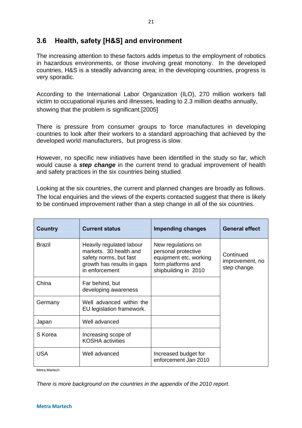# **3.6 Health, safety [H&S] and environment**

The increasing attention to these factors adds impetus to the employment of robotics in hazardous environments, or those involving great monotony. In the developed countries, H&S is a steadily advancing area; in the developing countries, progress is very sporadic.

According to the International Labor Organization (ILO), 270 million workers fall victim to occupational injuries and illnesses, leading to 2.3 million deaths annually, showing that the problem is significant.[2005]

There is pressure from consumer groups to force manufactures in developing countries to look after their workers to a standard approaching that achieved by the developed world manufacturers, but progress is slow.

However, no specific new initiatives have been identified in the study so far, which would cause a *step change* in the current trend to gradual improvement of health and safety practices in the six countries being studied.

Looking at the six countries, the current and planned changes are broadly as follows. The local enquiries and the views of the experts contacted suggest that there is likely to be continued improvement rather than a step change in all of the six countries.

| <b>Country</b> | <b>Current status</b>                                                                                                        | <b>Impending changes</b>                                                                                          | <b>General effect</b>                        |
|----------------|------------------------------------------------------------------------------------------------------------------------------|-------------------------------------------------------------------------------------------------------------------|----------------------------------------------|
| <b>Brazil</b>  | Heavily regulated labour<br>markets. 30 health and<br>safety norms, but fast<br>growth has results in gaps<br>in enforcement | New regulations on<br>personal protective<br>equipment etc, working<br>form platforms and<br>shipbuilding in 2010 | Continued<br>improvement, no<br>step change. |
| China          | Far behind, but<br>developing awareness                                                                                      |                                                                                                                   |                                              |
| Germany        | Well advanced within the<br>EU legislation framework.                                                                        |                                                                                                                   |                                              |
| Japan          | Well advanced                                                                                                                |                                                                                                                   |                                              |
| S Korea        | Increasing scope of<br><b>KOSHA</b> activities                                                                               |                                                                                                                   |                                              |
| <b>USA</b>     | Well advanced                                                                                                                | Increased budget for<br>enforcement Jan 2010                                                                      |                                              |

Metra Martech

*There is more background on the countries in the appendix of the 2010 report.*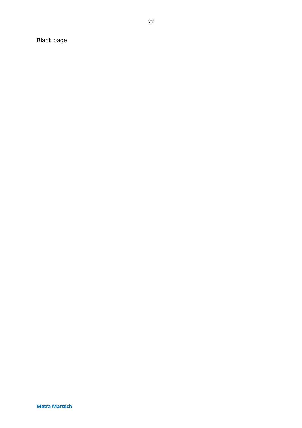Blank page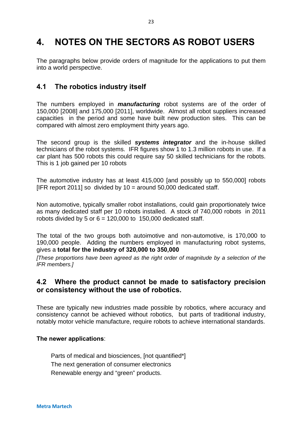# **4. NOTES ON THE SECTORS AS ROBOT USERS**

The paragraphs below provide orders of magnitude for the applications to put them into a world perspective.

## **4.1 The robotics industry itself**

The numbers employed in *manufacturing* robot systems are of the order of 150,000 [2008] and 175,000 [2011], worldwide. Almost all robot suppliers increased capacities in the period and some have built new production sites. This can be compared with almost zero employment thirty years ago.

The second group is the skilled *systems integrator* and the in-house skilled technicians of the robot systems. IFR figures show 1 to 1.3 million robots in use. If a car plant has 500 robots this could require say 50 skilled technicians for the robots. This is 1 job gained per 10 robots

The automotive industry has at least 415,000 [and possibly up to 550,000] robots  $IIFR$  report 2011] so divided by 10 = around 50,000 dedicated staff.

Non automotive, typically smaller robot installations, could gain proportionately twice as many dedicated staff per 10 robots installed. A stock of 740,000 robots in 2011 robots divided by 5 or  $6 = 120,000$  to 150,000 dedicated staff.

The total of the two groups both autoimotive and non-automotive, is 170,000 to 190,000 people. Adding the numbers employed in manufacturing robot systems, gives a **total for the industry of 320,000 to 350,000** 

*[These proportions have been agreed as the right order of magnitude by a selection of the IFR members.]* 

## **4.2 Where the product cannot be made to satisfactory precision or consistency without the use of robotics.**

These are typically new industries made possible by robotics, where accuracy and consistency cannot be achieved without robotics, but parts of traditional industry, notably motor vehicle manufacture, require robots to achieve international standards.

#### **The newer applications**:

Parts of medical and biosciences, [not quantified\*] The next generation of consumer electronics Renewable energy and "green" products.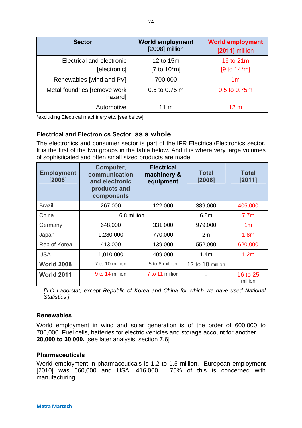| <b>Sector</b>                             | <b>World employment</b><br>[2008] million | <b>World employment</b><br>[2011] million |
|-------------------------------------------|-------------------------------------------|-------------------------------------------|
| Electrical and electronic<br>[electronic] | 12 to 15m<br>[7 to $10*$ m]               | 16 to 21m<br>[9 to $14$ <sup>*</sup> m]   |
| Renewables [wind and PV]                  | 700,000                                   | 1 <sub>m</sub>                            |
| Metal foundries [remove work<br>hazard]   | 0.5 to 0.75 m                             | 0.5 to 0.75m                              |
| Automotive                                | 11 <sub>m</sub>                           | 12 <sub>m</sub>                           |

\*excluding Electrical machinery etc. [see below]

#### **Electrical and Electronics Sector as a whole**

The electronics and consumer sector is part of the IFR Electrical/Electronics sector. It is the first of the two groups in the table below. And it is where very large volumes of sophisticated and often small sized products are made.

| <b>Employment</b><br>[2008] | Computer,<br>communication<br>and electronic<br>products and<br>components | <b>Electrical</b><br>machinery &<br>equipment | Total<br>[2008]  | <b>Total</b><br>[2011] |
|-----------------------------|----------------------------------------------------------------------------|-----------------------------------------------|------------------|------------------------|
| Brazil                      | 267,000                                                                    | 122,000                                       | 389,000          | 405,000                |
| China                       | 6.8 million                                                                |                                               | 6.8 <sub>m</sub> | 7.7 <sub>m</sub>       |
| Germany                     | 648,000                                                                    | 331,000                                       | 979,000          | 1 <sub>m</sub>         |
| Japan                       | 1,280,000                                                                  | 770,000                                       | 2m               | 1.8 <sub>m</sub>       |
| Rep of Korea                | 413,000                                                                    | 139,000                                       | 552,000          | 620,000                |
| <b>USA</b>                  | 1,010,000                                                                  | 409,000                                       | 1.4 <sub>m</sub> | 1.2 <sub>m</sub>       |
| <b>World 2008</b>           | 7 to 10 million                                                            | 5 to 8 million                                | 12 to 18 million |                        |
| <b>World 2011</b>           | 9 to 14 million                                                            | 7 to 11 million                               |                  | 16 to 25<br>million    |

*[ILO Laborstat, except Republic of Korea and China for which we have used National Statistics ]* 

#### **Renewables**

World employment in wind and solar generation is of the order of 600,000 to 700,000. Fuel cells, batteries for electric vehicles and storage account for another **20,000 to 30,000.** [see later analysis, section 7.6]

#### **Pharmaceuticals**

World employment in pharmaceuticals is 1.2 to 1.5 million. European employment [2010] was 660,000 and USA, 416,000. 75% of this is concerned with manufacturing.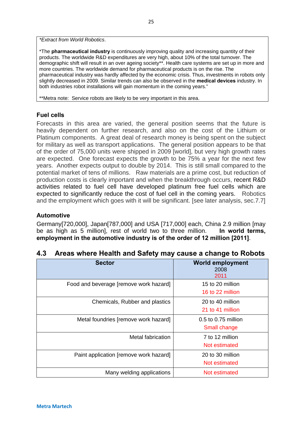#### *\*Extract from World Robotics*.

\*The **pharmaceutical industry** is continuously improving quality and increasing quantity of their products. The worldwide R&D expenditures are very high, about 10% of the total turnover. The demographic shift will result in an over ageing society\*\*. Health care systems are set up in more and more countries. The worldwide demand for pharmaceutical products is on the rise. The pharmaceutical industry was hardly affected by the economic crisis. Thus, investments in robots only slightly decreased in 2009. Similar trends can also be observed in the **medical devices** industry. In both industries robot installations will gain momentum in the coming years."

\*\*Metra note: Service robots are likely to be very important in this area.

#### **Fuel cells**

Forecasts in this area are varied, the general position seems that the future is heavily dependent on further research, and also on the cost of the Lithium or Platinum components. A great deal of research money is being spent on the subject for military as well as transport applications. The general position appears to be that of the order of 75,000 units were shipped in 2009 [world], but very high growth rates are expected. One forecast expects the growth to be 75% a year for the next few years. Another expects output to double by 2014. This is still small compared to the potential market of tens of millions. Raw materials are a prime cost, but reduction of production costs is clearly important and when the breakthrough occurs, recent R&D activities related to fuel cell have developed platinum free fuel cells which are expected to significantly reduce the cost of fuel cell in the coming years. Robotics and the employment which goes with it will be significant. [see later analysis, sec.7.7]

#### **Automotive**

Germany[720,000], Japan[787,000] and USA [717,000] each, China 2.9 million [may be as high as 5 million], rest of world two to three million. **In world terms, employment in the automotive industry is of the order of 12 million [2011]**.

| <b>Sector</b>                          | <b>World employment</b><br>2008<br>2011 |
|----------------------------------------|-----------------------------------------|
| Food and beverage [remove work hazard] | 15 to 20 million<br>16 to 22 million    |
| Chemicals, Rubber and plastics         | 20 to 40 million<br>21 to 41 million    |
| Metal foundries [remove work hazard]   | 0.5 to 0.75 million<br>Small change     |
| Metal fabrication                      | 7 to 12 million<br>Not estimated        |
| Paint application [remove work hazard] | 20 to 30 million<br>Not estimated       |
| Many welding applications              | Not estimated                           |

### **4.3 Areas where Health and Safety may cause a change to Robots**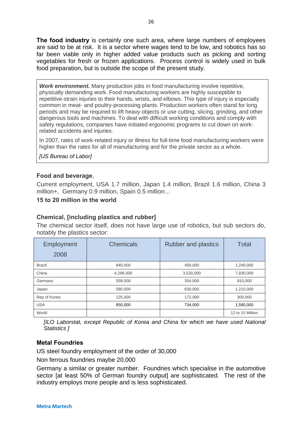**The food industry** is certainly one such area, where large numbers of employees are said to be at risk. It is a sector where wages tend to be low, and robotics has so far been viable only in higher added value products such as picking and sorting vegetables for fresh or frozen applications. Process control is widely used in bulk food preparation, but is outside the scope of the present study.

*Work environment.* Many production jobs in food manufacturing involve repetitive, physically demanding work. Food manufacturing workers are highly susceptible to repetitive-strain injuries to their hands, wrists, and elbows. This type of injury is especially common in meat- and poultry-processing plants. Production workers often stand for long periods and may be required to lift heavy objects or use cutting, slicing, grinding, and other dangerous tools and machines. To deal with difficult working conditions and comply with safety regulations, companies have initiated ergonomic programs to cut down on workrelated accidents and injuries.

In 2007, rates of work-related injury or illness for full-time food manufacturing workers were higher than the rates for all of manufacturing and for the private sector as a whole.

*[US Bureau of Labor]* 

#### **Food and beverage**,

Current employment, USA 1.7 million, Japan 1.4 million, Brazil 1.6 million, China 3 million+, Germany 0.9 million, Spain 0.5 million…

#### **15 to 20 million in the world**

#### **Chemical, [including plastics and rubber]**

The chemical sector itself, does not have large use of robotics, but sub sectors do, notably the plastics sector:

| Employment<br>2008 | <b>Chemicals</b> | <b>Rubber and plastics</b> | <b>Total</b>     |
|--------------------|------------------|----------------------------|------------------|
| <b>Brazil</b>      | 840,000          | 400,000                    | 1,240,000        |
| China              | 4,296,000        | 3,530,000                  | 7,830,000        |
| Germany            | 558,000          | 354,000                    | 910,000          |
| Japan              | 580,000          | 630,000                    | 1,210,000        |
| Rep of Korea       | 125.000          | 172,000                    | 300,000          |
| <b>USA</b>         | 850,000          | 734,000                    | 1,580,000        |
| World              |                  |                            | 12 to 15 Million |

*[ILO Laborstat, except Republic of Korea and China for which we have used National Statistics ]* 

#### **Metal Foundries**

US steel foundry employment of the order of 30,000

Non ferrous foundries maybe 20,000

Germany a similar or greater number. Foundries which specialise in the automotive sector [at least 50% of German foundry output] are sophisticated. The rest of the industry employs more people and is less sophisticated.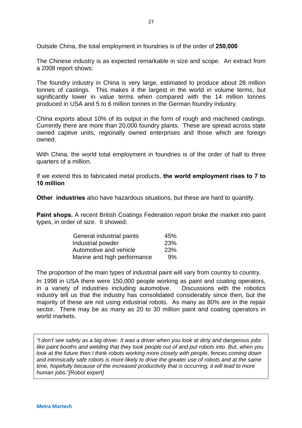Outside China, the total employment in foundries is of the order of **250,000**

The Chinese industry is as expected remarkable in size and scope. An extract from a 2008 report shows:

The foundry industry in China is very large, estimated to produce about 28 million tonnes of castings. This makes it the largest in the world in volume terms, but significantly lower in value terms when compared with the 14 million tonnes produced in USA and 5 to 6 million tonnes in the German foundry industry.

China exports about 10% of its output in the form of rough and machined castings. Currently there are more than 20,000 foundry plants. These are spread across state owned captive units, regionally owned enterprises and those which are foreign owned.

With China, the world total employment in foundries is of the order of half to three quarters of a million.

If we extend this to fabricated metal products, **the world employment rises to 7 to 10 million** 

**Other industries** also have hazardous situations, but these are hard to quantify.

**Paint shops.** A recent British Coatings Federation report broke the market into paint types, in order of size. It showed:

| General industrial paints   | 45%        |
|-----------------------------|------------|
| Industrial powder           | <b>23%</b> |
| Automotive and vehicle      | <b>23%</b> |
| Marine and high performance | 9%         |

The proportion of the main types of industrial paint will vary from country to country. In 1998 in USA there were 150,000 people working as paint and coating operators, in a variety of industries including automotive. Discussions with the robotics industry tell us that the industry has consolidated considerably since then, but the majority of these are not using industrial robots. As many as 80% are in the repair sector. There may be as many as 20 to 30 million paint and coating operators in world markets.

*"I don't see safety as a big driver. It was a driver when you look at dirty and dangerous jobs like paint booths and welding that they took people out of and put robots into. But, when you look at the future then I think robots working more closely with people, fences coming down and intrinsically safe robots is more likely to drive the greater use of robots and at the same time, hopefully because of the increased productivity that is occurring, it will lead to more human jobs."[Robot expert]*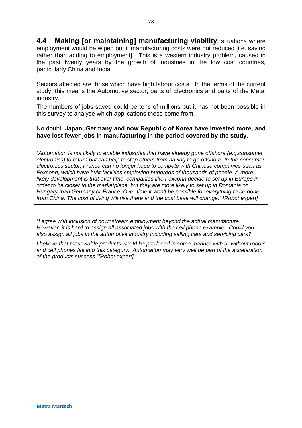**4.4 Making [or maintaining] manufacturing viability**, situations where employment would be wiped out if manufacturing costs were not reduced [i.e. saving rather than adding to employment]. This is a western industry problem, caused in the past twenty years by the growth of industries in the low cost countries, particularly China and India.

Sectors affected are those which have high labour costs. In the terms of the current study, this means the Automotive sector, parts of Electronics and parts of the Metal industry.

The numbers of jobs saved could be tens of millions but it has not been possible in this survey to analyse which applications these come from.

No doubt, **Japan, Germany and now Republic of Korea have invested more, and have lost fewer jobs in manufacturing in the period covered by the study**.

*"Automation is not likely to enable industries that have already gone offshore (e.g.consumer electronics) to return but can help to stop others from having to go offshore. In the consumer electronics sector, France can no longer hope to compete with Chinese companies such as Foxconn, which have built facilities employing hundreds of thousands of people. A more likely development is that over time, companies like Foxconn decide to set up in Europe in order to be closer to the marketplace, but they are more likely to set up in Romania or Hungary than Germany or France. Over time it won't be possible for everything to be done from China. The cost of living will rise there and the cost base will change." [Robot expert]*

*"I agree with inclusion of downstream employment beyond the actual manufacture. However, it is hard to assign all associated jobs with the cell phone example. Could you also assign all jobs in the automotive industry including selling cars and servicing cars?* 

*I believe that most viable products would be produced in some manner with or without robots and cell phones fall into this category. Automation may very well be part of the acceleration of the products success."[Robot expert]*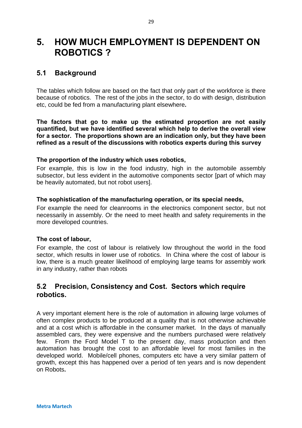# **5. HOW MUCH EMPLOYMENT IS DEPENDENT ON ROBOTICS ?**

## **5.1 Background**

The tables which follow are based on the fact that only part of the workforce is there because of robotics. The rest of the jobs in the sector, to do with design, distribution etc, could be fed from a manufacturing plant elsewhere**.** 

**The factors that go to make up the estimated proportion are not easily quantified, but we have identified several which help to derive the overall view for a sector. The proportions shown are an indication only, but they have been refined as a result of the discussions with robotics experts during this survey** 

#### **The proportion of the industry which uses robotics,**

For example, this is low in the food industry, high in the automobile assembly subsector, but less evident in the automotive components sector [part of which may be heavily automated, but not robot users].

#### **The sophistication of the manufacturing operation, or its special needs,**

For example the need for cleanrooms in the electronics component sector, but not necessarily in assembly. Or the need to meet health and safety requirements in the more developed countries.

#### **The cost of labour,**

For example, the cost of labour is relatively low throughout the world in the food sector, which results in lower use of robotics. In China where the cost of labour is low, there is a much greater likelihood of employing large teams for assembly work in any industry, rather than robots

## **5.2 Precision, Consistency and Cost. Sectors which require robotics.**

A very important element here is the role of automation in allowing large volumes of often complex products to be produced at a quality that is not otherwise achievable and at a cost which is affordable in the consumer market. In the days of manually assembled cars, they were expensive and the numbers purchased were relatively few. From the Ford Model T to the present day, mass production and then automation has brought the cost to an affordable level for most families in the developed world. Mobile/cell phones, computers etc have a very similar pattern of growth, except this has happened over a period of ten years and is now dependent on Robots**.**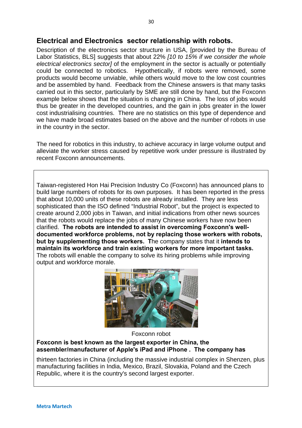Description of the electronics sector structure in USA, [provided by the Bureau of Labor Statistics, BLS] suggests that about 22% *[10 to 15% if we consider the whole electrical electronics sector]* of the employment in the sector is actually or potentially could be connected to robotics. Hypothetically, if robots were removed, some products would become unviable, while others would move to the low cost countries and be assembled by hand. Feedback from the Chinese answers is that many tasks carried out in this sector, particularly by SME are still done by hand, but the Foxconn example below shows that the situation is changing in China. The loss of jobs would thus be greater in the developed countries, and the gain in jobs greater in the lower cost industrialising countries. There are no statistics on this type of dependence and we have made broad estimates based on the above and the number of robots in use in the country in the sector.

The need for robotics in this industry, to achieve accuracy in large volume output and alleviate the worker stress caused by repetitive work under pressure is illustrated by recent Foxconn announcements.

Taiwan-registered Hon Hai Precision Industry Co (Foxconn) has announced plans to build large numbers of robots for its own purposes. It has been reported in the press that about 10,000 units of these robots are already installed. They are less sophisticated than the ISO defined "Industrial Robot", but the project is expected to create around 2,000 jobs in Taiwan, and initial indications from other news sources that the robots would replace the jobs of many Chinese workers have now been clarified. **The robots are intended to assist in overcoming Foxconn's welldocumented workforce problems, not by replacing those workers with robots, but by supplementing those workers. T**he company states that it **intends to maintain its workforce and train existing workers for more important tasks.**  The robots will enable the company to solve its hiring problems while improving output and workforce morale.



Foxconn robot

#### **Foxconn is best known as the largest exporter in China, the assembler/manufacturer of Apple's iPad and iPhone . The company has**

thirteen factories in China (including the massive industrial complex in Shenzen, plus manufacturing facilities in India, Mexico, Brazil, Slovakia, Poland and the Czech Republic, where it is the country's second largest exporter.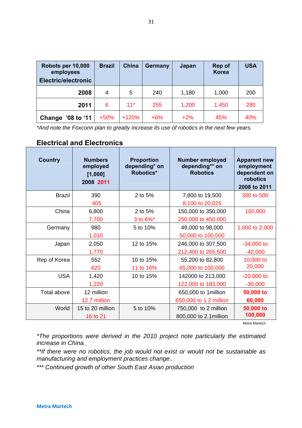| Robots per 10,000<br>employees<br>Electric/electronic | <b>Brazil</b> | <b>China</b> | Germany | Japan | Rep of<br><b>Korea</b> | <b>USA</b> |
|-------------------------------------------------------|---------------|--------------|---------|-------|------------------------|------------|
| 2008                                                  | 4             | 5            | 240     | 1,180 | 1,000                  | 200        |
| 2011                                                  | 6             | $11*$        | 255     | 1,200 | 1,450                  | 280        |
| '08 to '11<br>Change                                  | $+50%$        | $+120%$      | $+6%$   | $+2%$ | 45%                    | 40%        |

*\*And note the Foxconn plan to greatly increase its use of robotics in the next few years.* 

## **Electrical and Electronics**

| Country       | <b>Numbers</b><br>employed<br>[1,000]<br>2008 2011 | <b>Proportion</b><br>depending* on<br>Robotics* | <b>Number employed</b><br>depending** on<br><b>Robotics</b> | <b>Apparent new</b><br>employment<br>dependent on<br>robotics<br>2008 to 2011 |
|---------------|----------------------------------------------------|-------------------------------------------------|-------------------------------------------------------------|-------------------------------------------------------------------------------|
| <b>Brazil</b> | 390                                                | 2 to $5%$                                       | 7,800 to 19,500                                             | 300 to 500                                                                    |
|               | 405                                                |                                                 | 8,100 to 20,025                                             |                                                                               |
| China         | 6,800                                              | 2 to 5%                                         | 150,000 to 350,000                                          | 100,000                                                                       |
|               | 7,700                                              | 3 to $6\%$ <sup>*</sup>                         | 250,000 to 450,000                                          |                                                                               |
| Germany       | 980                                                | 5 to 10%                                        | 49,000 to 98,000                                            | 1,000 to 2,000                                                                |
|               | 1,010                                              |                                                 | 50,000 to 100,000                                           |                                                                               |
| Japan         | 2,050                                              | 12 to 15%                                       | 246,000 to 307,500                                          | $-34,000$ to                                                                  |
|               | 1,770                                              |                                                 | 212,400 to 265,500                                          | $-42,000$                                                                     |
| Rep of Korea  | 552                                                | 10 to 15%                                       | 55,200 to 82,800                                            | 10,000 to                                                                     |
|               | 620                                                | 11 to 16%                                       | 65,000 to 100,000                                           | 20,000                                                                        |
| <b>USA</b>    | 1,420                                              | 10 to 15%                                       | 142000 to 213,000                                           | $-20,000$ to                                                                  |
|               | 1,220                                              |                                                 | 122,000 to 183,000                                          | $-30,000$                                                                     |
| Total above   | 12 million                                         |                                                 | 650,000 to 1 million                                        | 50,000 to                                                                     |
|               | 12.7 million                                       |                                                 | 650,000 to 1.2 million                                      | 60,000                                                                        |
| World         | 15 to 20 million                                   | 5 to 10%                                        | 750,000 to 2 million                                        | 50,000 to                                                                     |
|               | 16 to 21                                           |                                                 | 800,000 to 2.1 million                                      | 100,000                                                                       |

Metra Martech

*\*The proportions were derived in the 2010 project note particularly the estimated increase in China.* 

*\*\*If there were no robotics, the job would not exist or would not be sustainable as manufacturing and employment practices change..* 

*\*\*\* Continued growth of other South East Asian production*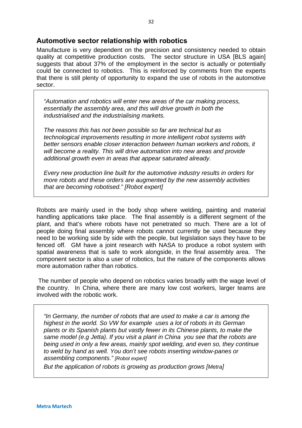### **Automotive sector relationship with robotics**

Manufacture is very dependent on the precision and consistency needed to obtain quality at competitive production costs. The sector structure in USA [BLS again] suggests that about 37% of the employment in the sector is actually or potentially could be connected to robotics. This is reinforced by comments from the experts that there is still plenty of opportunity to expand the use of robots in the automotive sector.

*"Automation and robotics will enter new areas of the car making process, essentially the assembly area, and this will drive growth in both the industrialised and the industrialising markets.* 

*The reasons this has not been possible so far are technical but as technological improvements resulting in more intelligent robot systems with better sensors enable closer interaction between human workers and robots, it will become a reality. This will drive automation into new areas and provide additional growth even in areas that appear saturated already.* 

*Every new production line built for the automotive industry results in orders for more robots and these orders are augmented by the new assembly activities that are becoming robotised." [Robot expert]* 

Robots are mainly used in the body shop where welding, painting and material handling applications take place. The final assembly is a different segment of the plant, and that's where robots have not penetrated so much. There are a lot of people doing final assembly where robots cannot currently be used because they need to be working side by side with the people, but legislation says they have to be fenced off. GM have a joint research with NASA to produce a robot system with spatial awareness that is safe to work alongside, in the final assembly area. The component sector is also a user of robotics, but the nature of the components allows more automation rather than robotics.

 The number of people who depend on robotics varies broadly with the wage level of the country. In China, where there are many low cost workers, larger teams are involved with the robotic work.

*"In Germany, the number of robots that are used to make a car is among the highest in the world. So VW for example uses a lot of robots in its German plants or its Spanish plants but vastly fewer in its Chinese plants, to make the same model (e.g Jetta). If you visit a plant in China you see that the robots are being used in only a few areas, mainly spot welding, and even so, they continue to weld by hand as well. You don't see robots inserting window-panes or assembling components." [Robot expert]* 

*But the application of robots is growing as production grows [Metra]*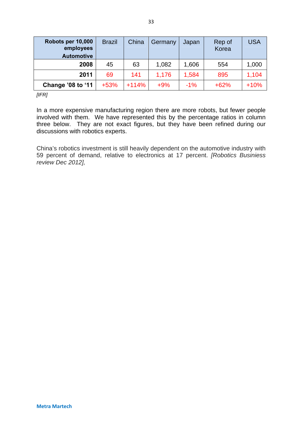| Robots per 10,000<br>employees<br><b>Automotive</b> | <b>Brazil</b> | China   | Germany | Japan  | Rep of<br>Korea | <b>USA</b> |
|-----------------------------------------------------|---------------|---------|---------|--------|-----------------|------------|
| 2008                                                | 45            | 63      | 1,082   | 1,606  | 554             | 1,000      |
| 2011                                                | 69            | 141     | 1,176   | 1,584  | 895             | 1,104      |
| Change '08 to '11                                   | $+53%$        | $+114%$ | $+9%$   | $-1\%$ | $+62%$          | $+10%$     |

*[IFR]* 

In a more expensive manufacturing region there are more robots, but fewer people involved with them. We have represented this by the percentage ratios in column three below. They are not exact figures, but they have been refined during our discussions with robotics experts.

China's robotics investment is still heavily dependent on the automotive industry with 59 percent of demand, relative to electronics at 17 percent. *[Robotics Businiess review Dec 2012],*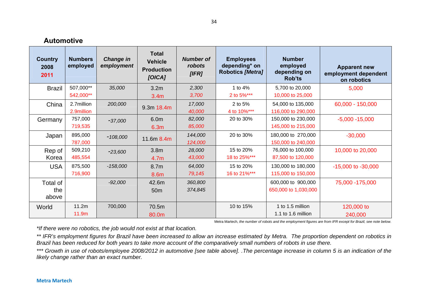**Automotive** 

| <b>Country</b><br>2008<br>2011 | <b>Numbers</b><br>employed | <b>Change in</b><br>employment | <b>Total</b><br><b>Vehicle</b><br><b>Production</b><br>IOICA | <b>Number of</b><br>robots<br>[IFR] | <b>Employees</b><br>depending* on<br><b>Robotics [Metra]</b> | <b>Number</b><br>employed<br>depending on<br><b>Rob'ts</b> | <b>Apparent new</b><br>employment dependent<br>on robotics |
|--------------------------------|----------------------------|--------------------------------|--------------------------------------------------------------|-------------------------------------|--------------------------------------------------------------|------------------------------------------------------------|------------------------------------------------------------|
| <b>Brazil</b>                  | 507,000**<br>542,000**     | 35,000                         | 3.2 <sub>m</sub>                                             | 2,300<br>3,700                      | 1 to 4%<br>2 to 5%***                                        | 5,700 to 20,000<br>10,000 to 25,000                        | 5,000                                                      |
| China                          | 2.7million<br>2.9million   | 200,000                        | 3.4 <sub>m</sub><br>9.3m 18.4m                               | 17,000<br>40,000                    | 2 to 5%<br>4 to 10%***                                       | 54,000 to 135,000<br>116,000 to 290,000                    | 60,000 - 150,000                                           |
| Germany                        | 757,000<br>719,535         | $-37,000$                      | 6.0m<br>6.3m                                                 | 82,000<br>85,000                    | 20 to 30%                                                    | 150,000 to 230,000<br>145,000 to 215,000                   | $-5,000 - 15,000$                                          |
| Japan                          | 895,000<br>787,000         | $-108,000$                     | 11.6 $m$ 8.4 $m$                                             | 144,000<br>124,000                  | 20 to 30%                                                    | 180,000 to 270,000<br>150,000 to 240,000                   | $-30,000$                                                  |
| Rep of<br>Korea                | 509,210<br>485,554         | $-23,600$                      | 3.8 <sub>m</sub><br>4.7 <sub>m</sub>                         | 28,000<br>43,000                    | 15 to 20%<br>18 to 25%***                                    | 76,000 to 100,000<br>87,500 to 120,000                     | 10,000 to 20,000                                           |
| <b>USA</b>                     | 875,500<br>716,900         | $-158,000$                     | 8.7m<br>8.6m                                                 | 64,000<br>79,145                    | 15 to 20%<br>16 to 21%***                                    | 130,000 to 180,000<br>115,000 to 150,000                   | -15,000 to -30,000                                         |
| Total of<br>the<br>above       |                            | $-92,000$                      | 42.6m<br>50 <sub>m</sub>                                     | 360,800<br>374,845                  |                                                              | 600,000 to 900,000<br>650,000 to 1,030,000                 | 75,000 - 175,000                                           |
| World                          | 11.2m<br>11.9m             | 700,000                        | 70.5m<br>80.0m                                               |                                     | 10 to 15%                                                    | 1 to 1.5 million<br>1.1 to 1.6 million                     | 120,000 to<br>240,000                                      |

Metra Martech, *the number of robots and the employment figures are from IFR except for Brazil, see note below.* 

*\*If there were no robotics, the job would not exist at that location.* 

*\*\* IFR's employment figures for Brazil have been increased to allow an increase estimated by Metra. The proportion dependent on robotics in Brazil has been reduced for both years to take more account of the comparatively small numbers of robots in use there.*

*\*\*\* Growth in use of robots/employee 2008/2012 in automotive [see table above]. .The percentage increase in column 5 is an indication of the likely change rather than an exact number.*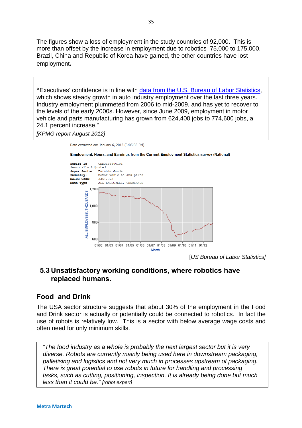The figures show a loss of employment in the study countries of 92,000. This is more than offset by the increase in employment due to robotics 75,000 to 175,000. Brazil, China and Republic of Korea have gained, the other countries have lost employment**.** 

**"**Executives' confidence is in line with data from the U.S. Bureau of Labor Statistics, which shows steady growth in auto industry employment over the last three years. Industry employment plummeted from 2006 to mid-2009, and has yet to recover to the levels of the early 2000s. However, since June 2009, employment in motor vehicle and parts manufacturing has grown from 624,400 jobs to 774,600 jobs, a 24.1 percent increase."

*[KPMG report August 2012]*







[*US Bureau of Labor Statistics]* 

# **5.3 Unsatisfactory working conditions, where robotics have replaced humans.**

## **Food and Drink**

The USA sector structure suggests that about 30% of the employment in the Food and Drink sector is actually or potentially could be connected to robotics. In fact the use of robots is relatively low. This is a sector with below average wage costs and often need for only minimum skills.

*"The food industry as a whole is probably the next largest sector but it is very diverse. Robots are currently mainly being used here in downstream packaging, palletising and logistics and not very much in processes upstream of packaging. There is great potential to use robots in future for handling and processing tasks, such as cutting, positioning, inspection. It is already being done but much less than it could be." [robot expert]*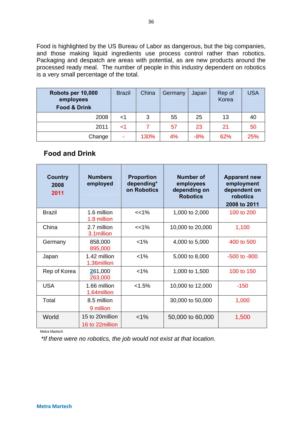Food is highlighted by the US Bureau of Labor as dangerous, but the big companies, and those making liquid ingredients use process control rather than robotics. Packaging and despatch are areas with potential, as are new products around the processed ready meal. The number of people in this industry dependent on robotics is a very small percentage of the total.

| Robots per 10,000<br>employees<br><b>Food &amp; Drink</b> | <b>Brazil</b> | China | Germany | Japan | Rep of<br>Korea | <b>USA</b> |
|-----------------------------------------------------------|---------------|-------|---------|-------|-----------------|------------|
| 2008                                                      | $<$ 1         | 3     | 55      | 25    | 13              | 40         |
| 2011                                                      | $<$ 1         |       | 57      | 23    | 21              | 50         |
| Change                                                    | ۰             | 130%  | 4%      | $-8%$ | 62%             | 25%        |

# **Food and Drink**

| <b>Country</b><br>2008<br>2011 | <b>Numbers</b><br>employed          | <b>Proportion</b><br>depending*<br>on Robotics | Number of<br>employees<br>depending on<br><b>Robotics</b> | <b>Apparent new</b><br>employment<br>dependent on<br>robotics<br>2008 to 2011 |
|--------------------------------|-------------------------------------|------------------------------------------------|-----------------------------------------------------------|-------------------------------------------------------------------------------|
| <b>Brazil</b>                  | 1.6 million<br>1.8 million          | $<< 1\%$                                       | 1,000 to 2,000                                            | 100 to 200                                                                    |
| China                          | 2.7 million<br>3.1 million          | $<< 1\%$                                       | 10,000 to 20,000                                          | 1,100                                                                         |
| Germany                        | 858,000<br>895,000                  | $< 1\%$                                        | 4,000 to 5,000                                            | 400 to 500                                                                    |
| Japan                          | 1.42 million<br>1.36million         | $< 1\%$                                        | 5,000 to 8,000                                            | $-500$ to $-800$                                                              |
| Rep of Korea                   | 261,000<br>263,000                  | $< 1\%$                                        | 1,000 to 1,500                                            | 100 to 150                                                                    |
| <b>USA</b>                     | 1.66 million<br>1.64million         | < 1.5%                                         | 10,000 to 12,000                                          | $-150$                                                                        |
| Total                          | 8.5 million<br>9 million            |                                                | 30,000 to 50,000                                          | 1,000                                                                         |
| World                          | 15 to 20 million<br>16 to 22million | $< 1\%$                                        | 50,000 to 60,000                                          | 1,500                                                                         |

Metra Martech

*\*If there were no robotics, the job would not exist at that location.*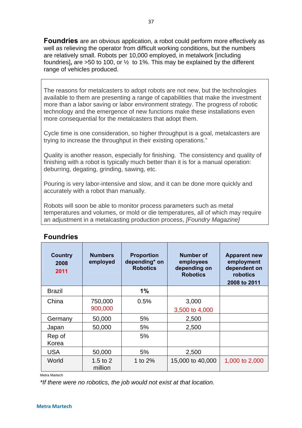**Foundries** are an obvious application, a robot could perform more effectively as well as relieving the operator from difficult working conditions, but the numbers are relatively small. Robots per 10,000 employed, in metalwork [including foundries]**,** are >50 to 100, or ½ to 1%. This may be explained by the different range of vehicles produced.

The reasons for metalcasters to adopt robots are not new, but the technologies available to them are presenting a range of capabilities that make the investment more than a labor saving or labor environment strategy. The progress of robotic technology and the emergence of new functions make these installations even more consequential for the metalcasters that adopt them.

Cycle time is one consideration, so higher throughput is a goal, metalcasters are trying to increase the throughput in their existing operations."

Quality is another reason, especially for finishing. The consistency and quality of finishing with a robot is typically much better than it is for a manual operation: deburring, degating, grinding, sawing, etc.

Pouring is very labor-intensive and slow, and it can be done more quickly and accurately with a robot than manually.

Robots will soon be able to monitor process parameters such as metal temperatures and volumes, or mold or die temperatures, all of which may require an adjustment in a metalcasting production process, *[Foundry Magazine]* 

| <b>Country</b><br>2008<br>2011 | <b>Numbers</b><br>employed | <b>Proportion</b><br>depending* on<br><b>Robotics</b> | Number of<br>employees<br>depending on<br><b>Robotics</b> | <b>Apparent new</b><br>employment<br>dependent on<br>robotics<br>2008 to 2011 |
|--------------------------------|----------------------------|-------------------------------------------------------|-----------------------------------------------------------|-------------------------------------------------------------------------------|
| <b>Brazil</b>                  |                            | 1%                                                    |                                                           |                                                                               |
| China                          | 750,000<br>900,000         | 0.5%                                                  | 3,000<br>3,500 to 4,000                                   |                                                                               |
| Germany                        | 50,000                     | 5%                                                    | 2,500                                                     |                                                                               |
| Japan                          | 50,000                     | 5%                                                    | 2,500                                                     |                                                                               |
| Rep of<br>Korea                |                            | 5%                                                    |                                                           |                                                                               |
| <b>USA</b>                     | 50,000                     | 5%                                                    | 2,500                                                     |                                                                               |
| World                          | $1.5$ to $2$<br>million    | 1 to 2%                                               | 15,000 to 40,000                                          | 1,000 to 2,000                                                                |

## **Foundries**

Metra Martech

*\*If there were no robotics, the job would not exist at that location.*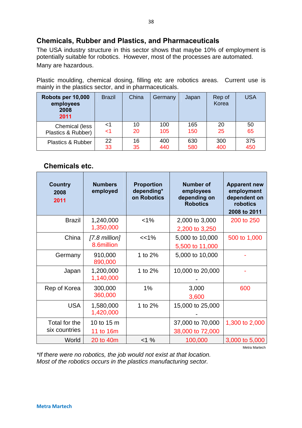# **Chemicals, Rubber and Plastics, and Pharmaceuticals**

The USA industry structure in this sector shows that maybe 10% of employment is potentially suitable for robotics. However, most of the processes are automated. Many are hazardous.

Plastic moulding, chemical dosing, filling etc are robotics areas. Current use is mainly in the plastics sector, and in pharmaceuticals.

| Robots per 10,000<br>employees<br>2008<br>2011 | <b>Brazil</b> | China | Germany | Japan | Rep of<br>Korea | <b>USA</b> |
|------------------------------------------------|---------------|-------|---------|-------|-----------------|------------|
| Chemical (less                                 | <1            | 10    | 100     | 165   | 20              | 50         |
| Plastics & Rubber)                             | $<$ 1         | 20    | 105     | 150   | 25              | 65         |
| <b>Plastics &amp; Rubber</b>                   | 22            | 16    | 400     | 630   | 300             | 375        |
|                                                | 33            | 35    | 440     | 580   | 400             | 450        |

# **Chemicals etc.**

| <b>Country</b><br>2008<br>2011 | <b>Numbers</b><br>employed            | <b>Proportion</b><br>depending*<br>on Robotics | <b>Number of</b><br>employees<br>depending on<br><b>Robotics</b> | <b>Apparent new</b><br>employment<br>dependent on<br>robotics<br>2008 to 2011 |
|--------------------------------|---------------------------------------|------------------------------------------------|------------------------------------------------------------------|-------------------------------------------------------------------------------|
| <b>Brazil</b>                  | 1,240,000<br>1,350,000                | $< 1\%$                                        | 2,000 to 3,000<br>2,200 to 3,250                                 | 200 to 250                                                                    |
| China                          | $[7.8 \text{ million}]$<br>8.6million | $<< 1\%$                                       | 5,000 to 10,000<br>5,500 to 11,000                               | 500 to 1,000                                                                  |
| Germany                        | 910,000<br>890,000                    | 1 to 2%                                        | 5,000 to 10,000                                                  |                                                                               |
| Japan                          | 1,200,000<br>1,140,000                | 1 to 2%                                        | 10,000 to 20,000                                                 |                                                                               |
| Rep of Korea                   | 300,000<br>360,000                    | 1%                                             | 3,000<br>3,600                                                   | 600                                                                           |
| <b>USA</b>                     | 1,580,000<br>1,420,000                | 1 to 2%                                        | 15,000 to 25,000                                                 |                                                                               |
| Total for the<br>six countries | 10 to 15 m<br>11 to 16m               |                                                | 37,000 to 70,000<br>38,000 to 72,000                             | 1,300 to 2,000                                                                |
| World                          | 20 to 40m                             | <1%                                            | 100,000                                                          | 3,000 to 5,000                                                                |

Metra Martech

*\*If there were no robotics, the job would not exist at that location. Most of the robotics occurs in the plastics manufacturing sector.*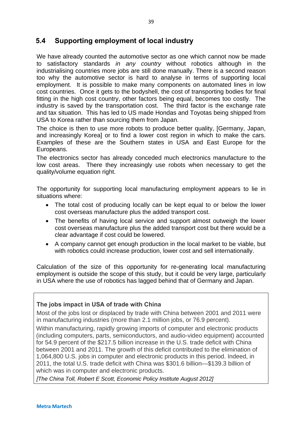# **5.4 Supporting employment of local industry**

We have already counted the automotive sector as one which cannot now be made to satisfactory standards *in any country* without robotics although in the industrialising countries more jobs are still done manually. There is a second reason too why the automotive sector is hard to analyse in terms of supporting local employment. It is possible to make many components on automated lines in low cost countries. Once it gets to the bodyshell, the cost of transporting bodies for final fitting in the high cost country, other factors being equal, becomes too costly. The industry is saved by the transportation cost. The third factor is the exchange rate and tax situation. This has led to US made Hondas and Toyotas being shipped from USA to Korea rather than sourcing them from Japan.

The choice is then to use more robots to produce better quality, [Germany, Japan, and increasingly Korea] or to find a lower cost region in which to make the cars. Examples of these are the Southern states in USA and East Europe for the Europeans.

The electronics sector has already conceded much electronics manufacture to the low cost areas. There they increasingly use robots when necessary to get the quality/volume equation right.

The opportunity for supporting local manufacturing employment appears to lie in situations where:

- The total cost of producing locally can be kept equal to or below the lower cost overseas manufacture plus the added transport cost.
- The benefits of having local service and support almost outweigh the lower cost overseas manufacture plus the added transport cost but there would be a clear advantage if cost could be lowered.
- A company cannot get enough production in the local market to be viable, but with robotics could increase production, lower cost and sell internationally.

Calculation of the size of this opportunity for re-generating local manufacturing employment is outside the scope of this study, but it could be very large, particularly in USA where the use of robotics has lagged behind that of Germany and Japan.

### **The jobs impact in USA of trade with China**

Most of the jobs lost or displaced by trade with China between 2001 and 2011 were in manufacturing industries (more than 2.1 million jobs, or 76.9 percent).

Within manufacturing, rapidly growing imports of computer and electronic products (including computers, parts, semiconductors, and audio-video equipment) accounted for 54.9 percent of the \$217.5 billion increase in the U.S. trade deficit with China between 2001 and 2011. The growth of this deficit contributed to the elimination of 1,064,800 U.S. jobs in computer and electronic products in this period. Indeed, in 2011, the total U.S. trade deficit with China was \$301.6 billion—\$139.3 billion of which was in computer and electronic products.

*[The China Toll, Robert E Scott, Economic Policy Institute August 2012]*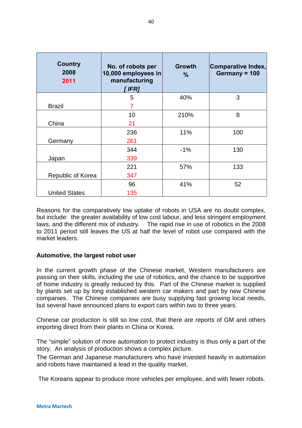| <b>Country</b><br>2008<br>2011 | No. of robots per<br>10,000 employees in<br>manufacturing<br>[ IFR] | <b>Growth</b><br>$\frac{9}{6}$ | <b>Comparative Index,</b><br>Germany = 100 |
|--------------------------------|---------------------------------------------------------------------|--------------------------------|--------------------------------------------|
|                                | 5                                                                   | 40%                            | 3                                          |
| <b>Brazil</b>                  | 7                                                                   |                                |                                            |
|                                | 10                                                                  | 210%                           | 8                                          |
| China                          | 21                                                                  |                                |                                            |
|                                | 236                                                                 | 11%                            | 100                                        |
| Germany                        | 261                                                                 |                                |                                            |
|                                | 344                                                                 | $-1%$                          | 130                                        |
| Japan                          | 339                                                                 |                                |                                            |
|                                | 221                                                                 | 57%                            | 133                                        |
| Republic of Korea              | 347                                                                 |                                |                                            |
|                                | 96                                                                  | 41%                            | 52                                         |
| <b>United States</b>           | 135                                                                 |                                |                                            |

Reasons for the comparatively low uptake of robots in USA are no doubt complex, but include: the greater availability of low cost labour, and less stringent employment laws, and the different mix of industry. The rapid rise in use of robotics in the 2008 to 2011 period still leaves the US at half the level of robot use compared with the market leaders.

#### **Automotive, the largest robot user**

In the current growth phase of the Chinese market, Western manufacturers are passing on their skills, including the use of robotics, and the chance to be supportive of home industry is greatly reduced by this. Part of the Chinese market is supplied by plants set up by long established western car makers and part by new Chinese companies. The Chinese companies are busy supplying fast growing local needs, but several have announced plans to export cars within two to three years.

Chinese car production is still so low cost, that there are reports of GM and others importing direct from their plants in China or Korea.

The "simple" solution of more automation to protect industry is thus only a part of the story. An analysis of production shows a complex picture.

The German and Japanese manufacturers who have invested heavily in automation and robots have maintained a lead in the quality market.

The Koreans appear to produce more vehicles per employee, and with fewer robots.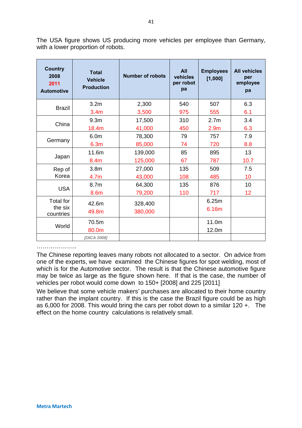The USA figure shows US producing more vehicles per employee than Germany, with a lower proportion of robots.

| <b>Country</b><br>2008<br>2011<br><b>Automotive</b> | <b>Total</b><br><b>Vehicle</b><br><b>Production</b> | <b>Number of robots</b> | All<br>vehicles<br>per robot<br>pa | <b>Employees</b><br>[1,000] | <b>All vehicles</b><br>per<br>employee<br>pa |
|-----------------------------------------------------|-----------------------------------------------------|-------------------------|------------------------------------|-----------------------------|----------------------------------------------|
| <b>Brazil</b>                                       | 3.2 <sub>m</sub>                                    | 2,300                   | 540                                | 507                         | 6.3                                          |
|                                                     | 3.4 <sub>m</sub>                                    | 3,500                   | 975                                | 555                         | 6.1                                          |
| China                                               | 9.3 <sub>m</sub>                                    | 17,500                  | 310                                | 2.7 <sub>m</sub>            | 3.4                                          |
|                                                     | 18.4m                                               | 41,000                  | 450                                | 2.9 <sub>m</sub>            | 6.3                                          |
| Germany                                             | 6.0m                                                | 78,300                  | 79                                 | 757                         | 7.9                                          |
|                                                     | 6.3m                                                | 85,000                  | 74                                 | 720                         | 8.8                                          |
| Japan                                               | 11.6m                                               | 139,000                 | 85                                 | 895                         | 13                                           |
|                                                     | 8.4m                                                | 125,000                 | 67                                 | 787                         | 10.7                                         |
| Rep of                                              | 3.8 <sub>m</sub>                                    | 27,000                  | 135                                | 509                         | 7.5                                          |
| Korea                                               | 4.7 <sub>m</sub>                                    | 43,000                  | 108                                | 485                         | 10                                           |
| <b>USA</b>                                          | 8.7 <sub>m</sub>                                    | 64,300                  | 135                                | 876                         | 10                                           |
|                                                     | 8.6m                                                | 79,200                  | 110                                | 717                         | 12                                           |
| <b>Total for</b>                                    | 42.6m                                               | 328,400                 |                                    | 6.25m                       |                                              |
| the six<br>countries                                | 49.8m                                               | 380,000                 |                                    | 6.16m                       |                                              |
|                                                     | 70.5m                                               |                         |                                    | 11.0m                       |                                              |
| World                                               | 80.0m                                               |                         |                                    | 12.0m                       |                                              |
|                                                     | [OICA 2008]                                         |                         |                                    |                             |                                              |

…………………

The Chinese reporting leaves many robots not allocated to a sector. On advice from one of the experts, we have examined the Chinese figures for spot welding, most of which is for the Automotive sector. The result is that the Chinese automotive figure may be twice as large as the figure shown here. If that is the case, the number of vehicles per robot would come down to 150+ [2008] and 225 [2011]

We believe that some vehicle makers' purchases are allocated to their home country rather than the implant country. If this is the case the Brazil figure could be as high as 6,000 for 2008. This would bring the cars per robot down to a similar 120 +. The effect on the home country calculations is relatively small.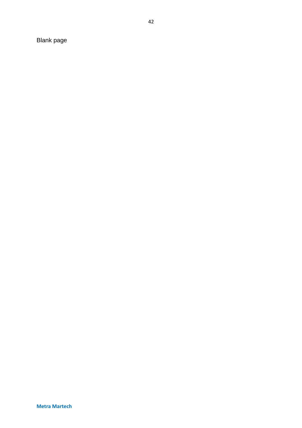Blank page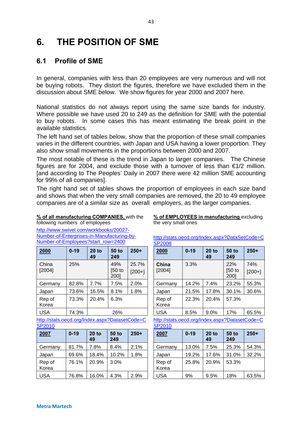# **6. THE POSITION OF SME**

# **6.1 Profile of SME**

In general, companies with less than 20 employees are very numerous and will not be buying robots. They distort the figures, therefore we have excluded them in the discussion about SME below. We show figures for year 2000 and 2007 here.

National statistics do not always report using the same size bands for industry. Where possible we have used 20 to 249 as the definition for SME with the potential to buy robots. In some cases this has meant estimating the break point in the available statistics.

The left hand set of tables below, show that the proportion of these small companies varies in the different countries, with Japan and USA having a lower proportion. They also show small movements in the proportions between 2000 and 2007.

The most notable of these is the trend in Japan to larger companies. The Chinese figures are for 2004, and exclude those with a turnover of less than  $\epsilon 1/2$  million. [and according to The Peoples' Daily in 2007 there were 42 million SME accounting for 99% of all companies].

The right hand set of tables shows the proportion of employees in each size band and shows that when the very small companies are removed, the 20 to 49 employee companies are of a similar size as overall employers, as the larger companies.

#### **% of all manufacturing COMPANIES,** with the following numbers of employees

http://www.swivel.com/workbooks/20027- Number-of-Enterprises-in-Manufacturing-by-Number-of-Employees?start\_row=2400

| 2000            | $0 - 19$ | $20$ to<br>49 | <b>50 to</b><br>249     | $250+$            |
|-----------------|----------|---------------|-------------------------|-------------------|
| China<br>[2004] | 25%      |               | 49%<br>$[50$ to<br>2001 | 25.7%<br>$[200+]$ |
| Germany         | 82.8%    | 7.7%          | 7.5%                    | 2.0%              |
| Japan           | 73.6%    | 16.5%         | 8.1%                    | 1.8%              |
| Rep of<br>Korea | 73.3%    | 20.4%         | 6.3%                    |                   |
| USA             | 74.3%    |               | 26%                     |                   |

http://stats.oecd.org/Index.aspx?DatasetCode=C SP2010

| 2007            | $0 - 19$ | $20$ to<br>49 | 50 to<br>249 | $250+$ |
|-----------------|----------|---------------|--------------|--------|
| Germany         | 81.7%    | 7.8%          | 8.4%         | 2.1%   |
| Japan           | 69.6%    | 18.4%         | 10.2%        | 1.8%   |
| Rep of<br>Korea | 76.1%    | 20.9%         | 3.0%         |        |
| <b>USA</b>      | 76.8%    | 16.0%         | 4.3%         | 2.9%   |

**% of EMPLOYEES in manufacturing** excluding the very small ones

|               | http://stats.oecd.org/Index.aspx?DataSetCode=C |
|---------------|------------------------------------------------|
| <b>SP2008</b> |                                                |

| 2000            | $0 - 19$ | $20$ to<br>49 | 50 to<br>249          | $250+$          |
|-----------------|----------|---------------|-----------------------|-----------------|
| China<br>[2004] | 3.3%     |               | 22%<br>[50 to<br>200] | 74%<br>$[200+]$ |
| Germany         | 14.2%    | 7.4%          | 23.2%                 | 55.3%           |
| Japan           | 21.5%    | 17.8%         | 30.1%                 | 30.6%           |
| Rep of<br>Korea | 22.3%    | 20.4%         | 57.3%                 |                 |
| USA             | 8.5%     | 9.0%          | 17%                   | 65.5%           |

| http://stats.oecd.org/Index.aspx?DatasetCode=C |  |  |
|------------------------------------------------|--|--|
| <b>SP2010</b>                                  |  |  |

| 2007            | $0 - 19$ | $20$ to<br>49 | 50 to<br>249 | $250+$ |
|-----------------|----------|---------------|--------------|--------|
| Germany         | 13.0%    | 7.5%          | 25.3%        | 54.3%  |
| Japan           | 19.2%    | 17.6%         | 31.0%        | 32.2%  |
| Rep of<br>Korea | 25.8%    | 20.9%         | 53.3%        |        |
| <b>USA</b>      | 9%       | 9.5%          | 18%          | 63.5%  |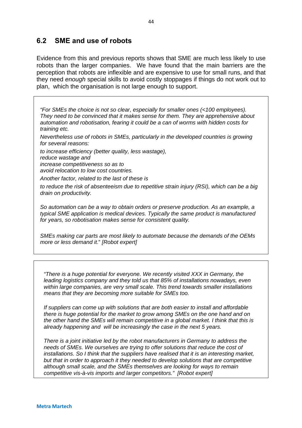# **6.2 SME and use of robots**

Evidence from this and previous reports shows that SME are much less likely to use robots than the larger companies. We have found that the main barriers are the perception that robots are inflexible and are expensive to use for small runs, and that they need *enough* special skills to avoid costly stoppages if things do not work out to plan, which the organisation is not large enough to support.

*"For SMEs the choice is not so clear, especially for smaller ones (<100 employees). They need to be convinced that it makes sense for them. They are apprehensive about automation and robotisation, fearing it could be a can of worms with hidden costs for training etc.* 

*Nevertheless use of robots in SMEs, particularly in the developed countries is growing for several reasons:* 

*to increase efficiency (better quality, less wastage), reduce wastage and increase competitiveness so as to avoid relocation to low cost countries.* 

*Another factor, related to the last of these is* 

*to reduce the risk of absenteeism due to repetitive strain injury (RSI), which can be a big drain on productivity.* 

*So automation can be a way to obtain orders or preserve production. As an example, a typical SME application is medical devices. Typically the same product is manufactured for years, so robotisation makes sense for consistent quality.* 

*SMEs making car parts are most likely to automate because the demands of the OEMs more or less demand it*." *[Robot expert]*

*"There is a huge potential for everyone. We recently visited XXX in Germany, the leading logistics company and they told us that 85% of installations nowadays, even within large companies, are very small scale. This trend towards smaller installations means that they are becoming more suitable for SMEs too.* 

*If suppliers can come up with solutions that are both easier to install and affordable there is huge potential for the market to grow among SMEs on the one hand and on the other hand the SMEs will remain competitive in a global market. I think that this is already happening and will be increasingly the case in the next 5 years.* 

*There is a joint initiative led by the robot manufacturers in Germany to address the needs of SMEs. We ourselves are trying to offer solutions that reduce the cost of installations. So I think that the suppliers have realised that it is an interesting market, but that in order to approach it they needed to develop solutions that are competitive although small scale, and the SMEs themselves are looking for ways to remain competitive vis-à-vis imports and larger competitors." [Robot expert]*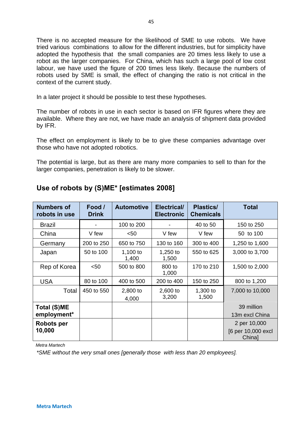There is no accepted measure for the likelihood of SME to use robots. We have tried various combinations to allow for the different industries, but for simplicity have adopted the hypothesis that the small companies are 20 times less likely to use a robot as the larger companies. For China, which has such a large pool of low cost labour, we have used the figure of 200 times less likely. Because the numbers of robots used by SME is small, the effect of changing the ratio is not critical in the context of the current study.

In a later project it should be possible to test these hypotheses.

The number of robots in use in each sector is based on IFR figures where they are available. Where they are not, we have made an analysis of shipment data provided by IFR.

The effect on employment is likely to be to give these companies advantage over those who have not adopted robotics.

The potential is large, but as there are many more companies to sell to than for the larger companies, penetration is likely to be slower.

| <b>Numbers of</b><br>robots in use | Food /<br><b>Drink</b> | <b>Automotive</b> | Electrical/<br><b>Electronic</b> | <b>Plastics/</b><br><b>Chemicals</b> | <b>Total</b>                                 |
|------------------------------------|------------------------|-------------------|----------------------------------|--------------------------------------|----------------------------------------------|
| <b>Brazil</b>                      |                        | 100 to 200        |                                  | 40 to 50                             | 150 to 250                                   |
| China                              | V few                  | $50$              | V few                            | V few                                | 50 to 100                                    |
| Germany                            | 200 to 250             | 650 to 750        | 130 to 160                       | 300 to 400                           | 1,250 to 1,600                               |
| Japan                              | 50 to 100              | 1,100 to<br>1,400 | 1,250 to<br>1,500                | 550 to 625                           | 3,000 to 3,700                               |
| Rep of Korea                       | < 50                   | 500 to 800        | 800 to<br>1,000                  | 170 to 210                           | 1,500 to 2,000                               |
| <b>USA</b>                         | 80 to 100              | 400 to 500        | 200 to 400                       | 150 to 250                           | 800 to 1,200                                 |
| Total                              | 450 to 550             | 2,800 to<br>4,000 | 2,600 to<br>3,200                | 1,300 to<br>1,500                    | 7,000 to 10,000                              |
| <b>Total (S)ME</b><br>employment*  |                        |                   |                                  |                                      | 39 million<br>13m excl China                 |
| Robots per<br>10,000               |                        |                   |                                  |                                      | 2 per 10,000<br>[6 per 10,000 excl<br>China] |

# **Use of robots by (S)ME\* [estimates 2008]**

*Metra Martech* 

*\*SME without the very small ones [generally those with less than 20 employees].*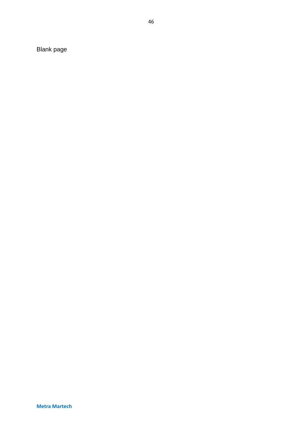Blank page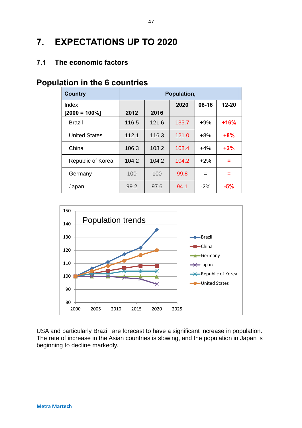# **7. EXPECTATIONS UP TO 2020**

# **7.1 The economic factors**

# **Population in the 6 countries**

| <b>Country</b>            | Population, |       |       |        |           |  |  |
|---------------------------|-------------|-------|-------|--------|-----------|--|--|
| Index<br>$[2000 = 100\%]$ | 2012        | 2016  | 2020  | 08-16  | $12 - 20$ |  |  |
| <b>Brazil</b>             | 116.5       | 121.6 | 135.7 | $+9\%$ | $+16%$    |  |  |
| <b>United States</b>      | 112.1       | 116.3 | 121.0 | $+8%$  | $+8%$     |  |  |
| China                     | 106.3       | 108.2 | 108.4 | $+4%$  | $+2%$     |  |  |
| Republic of Korea         | 104.2       | 104.2 | 104.2 | $+2%$  | =         |  |  |
| Germany                   | 100         | 100   | 99.8  |        | =         |  |  |
| Japan                     | 99.2        | 97.6  | 94.1  | $-2%$  | $-5%$     |  |  |



USA and particularly Brazil are forecast to have a significant increase in population. The rate of increase in the Asian countries is slowing, and the population in Japan is beginning to decline markedly.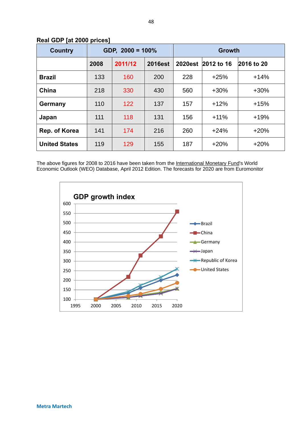| <b>Country</b>       |      | GDP, $2000 = 100\%$ |                | <b>Growth</b>  |            |            |  |
|----------------------|------|---------------------|----------------|----------------|------------|------------|--|
|                      | 2008 | 2011/12             | <b>2016est</b> | <b>2020est</b> | 2012 to 16 | 2016 to 20 |  |
| <b>Brazil</b>        | 133  | 160                 | 200            | 228            | $+25%$     | $+14%$     |  |
| China                | 218  | 330                 | 430            | 560            | $+30%$     | $+30%$     |  |
| Germany              | 110  | 122                 | 137            | 157            | $+12%$     | $+15%$     |  |
| Japan                | 111  | 118                 | 131            | 156            | $+11%$     | $+19%$     |  |
| Rep. of Korea        | 141  | 174                 | 216            | 260            | $+24%$     | $+20%$     |  |
| <b>United States</b> | 119  | 129                 | 155            | 187            | $+20%$     | $+20%$     |  |

**Real GDP [at 2000 prices]** 

The above figures for 2008 to 2016 have been taken from the International Monetary Fund's World Economic Outlook (WEO) Database, April 2012 Edition. The forecasts for 2020 are from Euromonitor

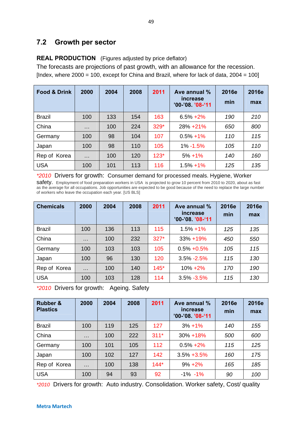# **7.2 Growth per sector**

#### **REAL PRODUCTION** (Figures adjusted by price deflator)

The forecasts are projections of past growth, with an allowance for the recession. [Index, where  $2000 = 100$ , except for China and Brazil, where for lack of data,  $2004 = 100$ ]

| <b>Food &amp; Drink</b> | 2000     | 2004 | 2008 | 2011   | Ave annual %<br>increase<br>$'00$ -'08 $'08$ -'11 | 2016e<br>min | 2016e<br>max |
|-------------------------|----------|------|------|--------|---------------------------------------------------|--------------|--------------|
| <b>Brazil</b>           | 100      | 133  | 154  | 163    | $6.5\% + 2\%$                                     | 190          | 210          |
| China                   | $\cdots$ | 100  | 224  | $329*$ | 28%+21%                                           | 650          | 800          |
| Germany                 | 100      | 98   | 104  | 107    | $0.5\% + 1\%$                                     | 110          | 115          |
| Japan                   | 100      | 98   | 110  | 105    | $1\% -1.5\%$                                      | 105          | 110          |
| Rep of Korea            | $\cdots$ | 100  | 120  | $123*$ | $5\% + 1\%$                                       | 140          | 160          |
| <b>USA</b>              | 100      | 101  | 113  | 116    | $1.5\% + 1\%$                                     | 125          | 135          |

*\*2010* Drivers for growth: Consumer demand for processed meals. Hygiene, Worker Safety. Employment of food preparation workers in USA is projected to grow 10 percent from 2010 to 2020, about as fast as the average for all occupations. Job opportunities are expected to be good because of the need to replace the large number

| <b>Chemicals</b> | 2000     | 2004 | 2008 | 2011   | Ave annual %<br>increase<br>$'00$ -'08. $'08$ -'11 | 2016e<br>min | 2016e<br>max |
|------------------|----------|------|------|--------|----------------------------------------------------|--------------|--------------|
| <b>Brazil</b>    | 100      | 136  | 113  | 115    | $1.5\% + 1\%$                                      | 125          | 135          |
| China            | $\cdots$ | 100  | 232  | $327*$ | $33\% + 19\%$                                      | 450          | 550          |
| Germany          | 100      | 103  | 103  | 105    | $0.5\% + 0.5\%$                                    | 105          | 115          |
| Japan            | 100      | 96   | 130  | 120    | $3.5\% -2.5\%$                                     | 115          | 130          |
| Rep of Korea     | $\cdots$ | 100  | 140  | $145*$ | $10\% + 2\%$                                       | 170          | 190          |
| <b>USA</b>       | 100      | 103  | 128  | 114    | $3.5\% - 3.5\%$                                    | 115          | 130          |

*\*2010* Drivers for growth: Ageing. Safety

of workers who leave the occupation each year. [US BLS]

| <b>Rubber &amp;</b><br><b>Plastics</b> | 2000     | 2004 | 2008 | 2011   | Ave annual %<br>increase<br>'00-'08 '08-'11 | 2016e<br>min | 2016e<br>max |
|----------------------------------------|----------|------|------|--------|---------------------------------------------|--------------|--------------|
| <b>Brazil</b>                          | 100      | 119  | 125  | 127    | $3\% + 1\%$                                 | 140          | 155          |
| China                                  | $\cdots$ | 100  | 222  | $311*$ | $30\% + 18\%$                               | 500          | 600          |
| Germany                                | 100      | 101  | 105  | 112    | $0.5\% + 2\%$                               | 115          | 125          |
| Japan                                  | 100      | 102  | 127  | 142    | $3.5\% + 3.5\%$                             | 160          | 175          |
| Rep of Korea                           | $\cdots$ | 100  | 138  | $144*$ | $9\% + 2\%$                                 | 165          | 185          |
| <b>USA</b>                             | 100      | 94   | 93   | 92     | $-1\% -1\%$                                 | 90           | 100          |

*\*2010* Drivers for growth: Auto industry. Consolidation. Worker safety, Cost/ quality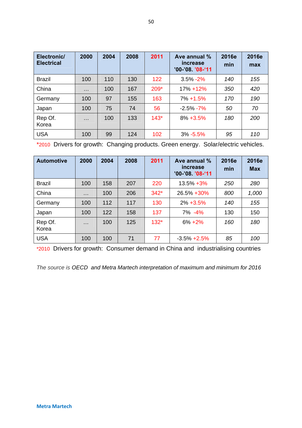| Electronic/<br><b>Electrical</b> | 2000     | 2004 | 2008 | 2011   | Ave annual %<br>increase<br>'00-'08 '08-'11 | 2016e<br>min | 2016e<br>max |
|----------------------------------|----------|------|------|--------|---------------------------------------------|--------------|--------------|
| <b>Brazil</b>                    | 100      | 110  | 130  | 122    | $3.5\% - 2\%$                               | 140          | 155          |
| China                            | $\cdots$ | 100  | 167  | 209*   | 17% +12%                                    | 350          | 420          |
| Germany                          | 100      | 97   | 155  | 163    | $7\% + 1.5\%$                               | 170          | 190          |
| Japan                            | 100      | 75   | 74   | 56     | $-2.5\% - 7\%$                              | 50           | 70           |
| Rep Of.<br>Korea                 | $\cdots$ | 100  | 133  | $143*$ | $8\% + 3.5\%$                               | 180          | 200          |
| <b>USA</b>                       | 100      | 99   | 124  | 102    | $3\% - 5.5\%$                               | 95           | 110          |

\*2010 Drivers for growth: Changing products. Green energy. Solar/electric vehicles.

| <b>Automotive</b> | 2000     | 2004 | 2008 | 2011   | Ave annual %<br>increase<br>'00-'08 '08-'11 | 2016e<br>min | 2016e<br><b>Max</b> |
|-------------------|----------|------|------|--------|---------------------------------------------|--------------|---------------------|
| <b>Brazil</b>     | 100      | 158  | 207  | 220    | $13.5\% + 3\%$                              | 250          | 280                 |
| China             | $\cdots$ | 100  | 206  | $342*$ | 26.5% +30%                                  | 800          | 1,000               |
| Germany           | 100      | 112  | 117  | 130    | $2\% + 3.5\%$                               | 140          | 155                 |
| Japan             | 100      | 122  | 158  | 137    | $7\% - 4\%$                                 | 130          | 150                 |
| Rep Of.<br>Korea  | $\cdots$ | 100  | 125  | $132*$ | $6\% + 2\%$                                 | 160          | 180                 |
| <b>USA</b>        | 100      | 100  | 71   | 77     | $-3.5\% +2.5\%$                             | 85           | 100                 |

\*2010 Drivers for growth: Consumer demand in China and industrialising countries

*The source is OECD and Metra Martech interpretation of maximum and minimum for 2016*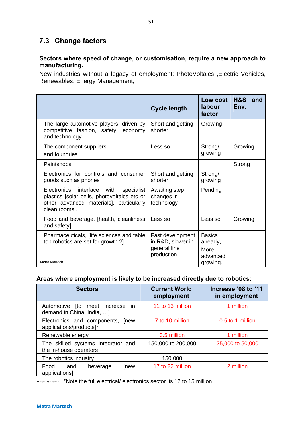# **7.3 Change factors**

#### **Sectors where speed of change, or customisation, require a new approach to manufacturing.**

New industries without a legacy of employment: PhotoVoltaics ,Electric Vehicles, Renewables, Energy Management,

|                                                                                                                                                       | <b>Cycle length</b>                                                 | Low cost<br>labour<br>factor                              | H&S and<br>Env. |
|-------------------------------------------------------------------------------------------------------------------------------------------------------|---------------------------------------------------------------------|-----------------------------------------------------------|-----------------|
| The large automotive players, driven by<br>competitive fashion, safety, economy<br>and technology.                                                    | Short and getting<br>shorter                                        | Growing                                                   |                 |
| The component suppliers<br>and foundries                                                                                                              | Less so                                                             | Strong/<br>growing                                        | Growing         |
| Paintshops                                                                                                                                            |                                                                     |                                                           | Strong          |
| Electronics for controls and consumer<br>goods such as phones                                                                                         | Short and getting<br>shorter                                        | Strong/<br>growing                                        |                 |
| Electronics interface<br>with<br>specialist<br>plastics [solar cells, photovoltaics etc or<br>other advanced materials], particularly<br>clean rooms. | Awaiting step<br>changes in<br>technology                           | Pending                                                   |                 |
| Food and beverage, [health, cleanliness<br>and safety]                                                                                                | Less so                                                             | Less so                                                   | Growing         |
| Pharmaceuticals, [life sciences and table<br>top robotics are set for growth?]<br>Metra Martech                                                       | Fast development<br>in R&D, slower in<br>general line<br>production | <b>Basics</b><br>already,<br>More<br>advanced<br>growing. |                 |

#### **Areas where employment is likely to be increased directly due to robotics:**

| <b>Sectors</b>                                                        | <b>Current World</b><br>employment | Increase '08 to '11<br>in employment |
|-----------------------------------------------------------------------|------------------------------------|--------------------------------------|
| Automotive [to meet increase in<br>demand in China, India, ]          | 11 to 13 million                   | 1 million                            |
| Electronics and components,<br><b>Inew</b><br>applications/products]* | 7 to 10 million                    | 0.5 to 1 million                     |
| Renewable energy                                                      | 3.5 million                        | 1 million                            |
| The skilled systems integrator and<br>the in-house operators          | 150,000 to 200,000                 | 25,000 to 50,000                     |
| The robotics industry                                                 | 150,000                            |                                      |
| Food<br>and<br>beverage<br>[new<br>applications]                      | 17 to 22 million                   | 2 million                            |

Metra Martech \*Note the full electrical/ electronics sector is 12 to 15 million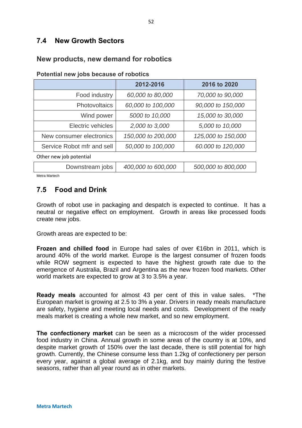# **7.4 New Growth Sectors**

## **New products, new demand for robotics**

|                            | 2012-2016          | 2016 to 2020       |
|----------------------------|--------------------|--------------------|
| Food industry              | 60,000 to 80,000   | 70,000 to 90,000   |
| <b>Photovoltaics</b>       | 60,000 to 100,000  | 90,000 to 150,000  |
| Wind power                 | 5000 to 10,000     | 15,000 to 30,000   |
| Electric vehicles          | 2,000 to 3,000     | 5,000 to 10,000    |
| New consumer electronics   | 150,000 to 200,000 | 125,000 to 150,000 |
| Service Robot mfr and sell | 50,000 to 100,000  | 60.000 to 120,000  |
| Other new job potential    |                    |                    |
| Downstream jobs            | 400,000 to 600,000 | 500,000 to 800,000 |

#### **Potential new jobs because of robotics**

Metra Martech

# **7.5 Food and Drink**

Growth of robot use in packaging and despatch is expected to continue. It has a neutral or negative effect on employment. Growth in areas like processed foods create new jobs.

Growth areas are expected to be:

**Frozen and chilled food** in Europe had sales of over €16bn in 2011, which is around 40% of the world market. Europe is the largest consumer of frozen foods while ROW segment is expected to have the highest growth rate due to the emergence of Australia, Brazil and Argentina as the new frozen food markets. Other world markets are expected to grow at 3 to 3.5% a year.

**Ready meals** accounted for almost 43 per cent of this in value sales. \*The European market is growing at 2.5 to 3% a year. Drivers in ready meals manufacture are safety, hygiene and meeting local needs and costs. Development of the ready meals market is creating a whole new market, and so new employment.

**The confectionery market** can be seen as a microcosm of the wider processed food industry in China. Annual growth in some areas of the country is at 10%, and despite market growth of 150% over the last decade, there is still potential for high growth. Currently, the Chinese consume less than 1.2kg of confectionery per person every year, against a global average of 2.1kg, and buy mainly during the festive seasons, rather than all year round as in other markets.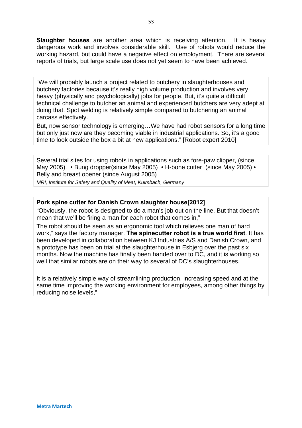**Slaughter houses** are another area which is receiving attention. It is heavy dangerous work and involves considerable skill. Use of robots would reduce the working hazard, but could have a negative effect on employment. There are several reports of trials, but large scale use does not yet seem to have been achieved.

"We will probably launch a project related to butchery in slaughterhouses and butchery factories because it's really high volume production and involves very heavy (physically and psychologically) jobs for people. But, it's quite a difficult technical challenge to butcher an animal and experienced butchers are very adept at doing that. Spot welding is relatively simple compared to butchering an animal carcass effectively.

But, now sensor technology is emerging…We have had robot sensors for a long time but only just now are they becoming viable in industrial applications. So, it's a good time to look outside the box a bit at new applications." [Robot expert 2010]

Several trial sites for using robots in applications such as fore-paw clipper, (since May 2005). • Bung dropper(since May 2005) • H-bone cutter (since May 2005) • Belly and breast opener (since August 2005)

*MRI, Institute for Safety and Quality of Meat, Kulmbach, Germany* 

### **Pork spine cutter for Danish Crown slaughter house[2012]**

"Obviously, the robot is designed to do a man's job out on the line. But that doesn't mean that we'll be firing a man for each robot that comes in,"

The robot should be seen as an ergonomic tool which relieves one man of hard work," says the factory manager. **The spinecutter robot is a true world first**. It has been developed in collaboration between KJ Industries A/S and Danish Crown, and a prototype has been on trial at the slaughterhouse in Esbjerg over the past six months. Now the machine has finally been handed over to DC, and it is working so well that similar robots are on their way to several of DC's slaughterhouses.

It is a relatively simple way of streamlining production, increasing speed and at the same time improving the working environment for employees, among other things by reducing noise levels,"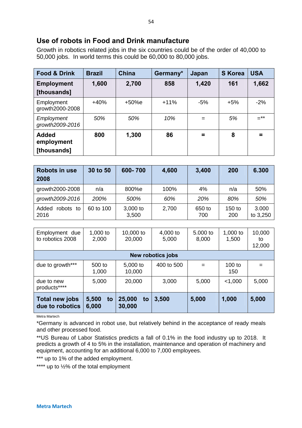# **Use of robots in Food and Drink manufacture**

Growth in robotics related jobs in the six countries could be of the order of 40,000 to 50,000 jobs. In world terms this could be 60,000 to 80,000 jobs.

| <b>Food &amp; Drink</b>                   | <b>Brazil</b> | <b>China</b> | Germany* | Japan    | <b>S</b> Korea | <b>USA</b> |
|-------------------------------------------|---------------|--------------|----------|----------|----------------|------------|
| <b>Employment</b><br>[thousands]          | 1,600         | 2,700        | 858      | 1,420    | 161            | 1,662      |
| Employment<br>growth2000-2008             | $+40%$        | $+50%e$      | $+11%$   | -5%      | $+5%$          | $-2%$      |
| Employment<br>growth2009-2016             | 50%           | 50%          | 10%      | $=$      | 5%             | $=$ **     |
| <b>Added</b><br>employment<br>[thousands] | 800           | 1,300        | 86       | $\equiv$ | 8              | $\equiv$   |

| Robots in use<br>2008      | 30 to 50  | 600-700           | 4,600 | 3,400         | 200           | 6.300             |
|----------------------------|-----------|-------------------|-------|---------------|---------------|-------------------|
| growth2000-2008            | n/a       | 800%e             | 100%  | 4%            | n/a           | 50%               |
| growth2009-2016            | 200%      | 500%              | 60%   | 20%           | 80%           | 50%               |
| Added<br>robots to<br>2016 | 60 to 100 | 3,000 to<br>3,500 | 2,700 | 650 to<br>700 | 150 to<br>200 | 3.000<br>to 3,250 |

| Employment due<br>to robotics 2008 | 1,000 to<br>2,000    | 10,000 to<br>20,000    | 4,000 to<br>5,000 | 5.000 to<br>8,000 | 1,000 to<br>1,500 | 10,000<br>to<br>12,000 |  |  |  |  |
|------------------------------------|----------------------|------------------------|-------------------|-------------------|-------------------|------------------------|--|--|--|--|
| <b>New robotics jobs</b>           |                      |                        |                   |                   |                   |                        |  |  |  |  |
| due to growth***                   | 500 to<br>1,000      | 5,000 to<br>10,000     | 400 to 500        | $=$               | $100$ to<br>150   | $=$                    |  |  |  |  |
| due to new<br>products****         | 5,000                | 20,000                 | 3,000             | 5,000             | < 1,000           | 5,000                  |  |  |  |  |
| Total new jobs<br>due to robotics  | 5,500<br>to<br>6,000 | 25,000<br>to<br>30,000 | 3,500             | 5,000             | 1,000             | 5,000                  |  |  |  |  |

Metra Martech

\*Germany is advanced in robot use, but relatively behind in the acceptance of ready meals and other processed food.

\*\*US Bureau of Labor Statistics predicts a fall of 0.1% in the food industry up to 2018. It predicts a growth of 4 to 5% in the installation, maintenance and operation of machinery and equipment, accounting for an additional 6,000 to 7,000 employees.

\*\*\* up to 1% of the added employment.

\*\*\*\* up to 1/2% of the total employment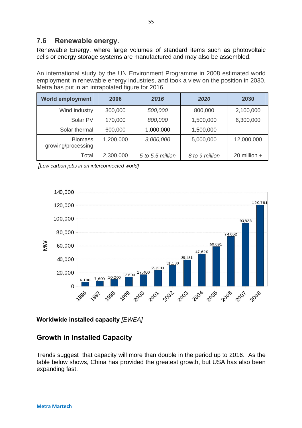## **7.6 Renewable energy.**

Renewable Energy, where large volumes of standard items such as photovoltaic cells or energy storage systems are manufactured and may also be assembled.

An international study by the UN Environment Programme in 2008 estimated world employment in renewable energy industries, and took a view on the position in 2030. Metra has put in an intrapolated figure for 2016.

| <b>World employment</b>              | 2006      | 2016             | 2020           | 2030         |
|--------------------------------------|-----------|------------------|----------------|--------------|
| Wind industry                        | 300,000   | 500,000          | 800,000        | 2,100,000    |
| Solar PV                             | 170,000   | 800,000          | 1,500,000      | 6,300,000    |
| Solar thermal                        | 600,000   | 1,000,000        | 1,500,000      |              |
| <b>Biomass</b><br>growing/processing | 1,200,000 | 3,000,000        | 5,000,000      | 12,000,000   |
| Total                                | 2,300,000 | 5 to 5.5 million | 8 to 9 million | 20 million + |

 *[Low carbon jobs in an interconnected world]* 



**Worldwide installed capacity** *[EWEA]* 

# **Growth in Installed Capacity**

Trends suggest that capacity will more than double in the period up to 2016. As the table below shows, China has provided the greatest growth, but USA has also been expanding fast.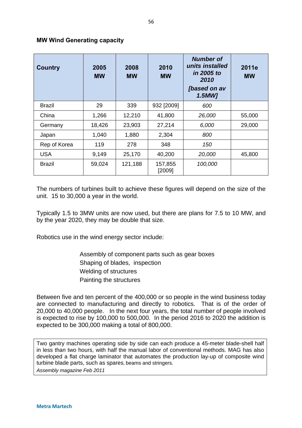#### **MW Wind Generating capacity**

| <b>Country</b> | 2005<br><b>MW</b> | 2008<br><b>MW</b> | 2010<br><b>MW</b> | Number of<br>units installed<br>in 2005 to<br>2010<br>[based on av<br>1.5MW | 2011e<br><b>MW</b> |
|----------------|-------------------|-------------------|-------------------|-----------------------------------------------------------------------------|--------------------|
| <b>Brazil</b>  | 29                | 339               | 932 [2009]        | 600                                                                         |                    |
| China          | 1,266             | 12,210            | 41,800            | 26,000                                                                      | 55,000             |
| Germany        | 18,426            | 23,903            | 27,214            | 6,000                                                                       | 29,000             |
| Japan          | 1,040             | 1,880             | 2,304             | 800                                                                         |                    |
| Rep of Korea   | 119               | 278               | 348               | 150                                                                         |                    |
| <b>USA</b>     | 9,149             | 25,170            | 40,200            | 20,000                                                                      | 45,800             |
| <b>Brazil</b>  | 59,024            | 121,188           | 157,855<br>[2009] | 100,000                                                                     |                    |

The numbers of turbines built to achieve these figures will depend on the size of the unit. 15 to 30,000 a year in the world.

Typically 1.5 to 3MW units are now used, but there are plans for 7.5 to 10 MW, and by the year 2020, they may be double that size.

Robotics use in the wind energy sector include:

Assembly of component parts such as gear boxes Shaping of blades, inspection Welding of structures Painting the structures

Between five and ten percent of the 400,000 or so people in the wind business today are connected to manufacturing and directly to robotics. That is of the order of 20,000 to 40,000 people. In the next four years, the total number of people involved is expected to rise by 100,000 to 500,000. In the period 2016 to 2020 the addition is expected to be 300,000 making a total of 800,000.

Two gantry machines operating side by side can each produce a 45-meter blade-shell half in less than two hours, with half the manual labor of conventional methods. MAG has also developed a flat charge laminator that automates the production lay-up of composite wind turbine blade parts, such as spares, beams and stringers*.* 

*Assembly magazine Feb 2011*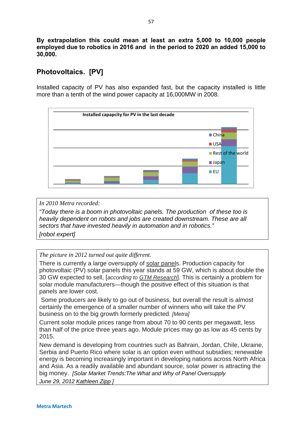**By extrapolation this could mean at least an extra 5,000 to 10,000 people employed due to robotics in 2016 and in the period to 2020 an added 15,000 to 30,000.** 

# **Photovoltaics. [PV]**

Installed capacity of PV has also expanded fast, but the capacity installed is little more than a tenth of the wind power capacity at 16,000MW in 2008.



*In 2010 Metra recorded:* 

*"Today there is a boom in photovoltaic panels. The production of these too is heavily dependent on robots and jobs are created downstream. These are all sectors that have invested heavily in automation and in robotics." [robot expert]* 

*The picture in 2012 turned out quite different.* 

There is currently a large oversupply of solar panels. Production capacity for photovoltaic (PV) solar panels this year stands at 59 GW, which is about double the 30 GW expected to sell, [*according to GTM Research*]. This is certainly a problem for solar module manufacturers—though the positive effect of this situation is that panels are lower cost.

 Some producers are likely to go out of business, but overall the result is almost certainly the emergence of a smaller number of winners who will take the PV business on to the big growth formerly predicted*. [Metra]* 

Current solar module prices range from about 70 to 90 cents per megawatt, less than half of the price three years ago. Module prices may go as low as 45 cents by 2015.

New demand is developing from countries such as Bahrain, Jordan, Chile, Ukraine, Serbia and Puerto Rico where solar is an option even without subsidies; renewable energy is becoming increasingly important in developing nations across North Africa and Asia. As a readily available and abundant source, solar power is attracting the big money. *[Solar Market Trends:The What and Why of Panel Oversupply June 29, 2012 Kathleen Zipp ]*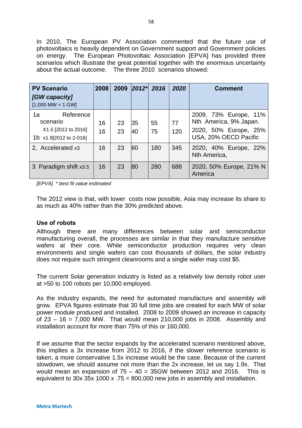In 2010, The European PV Association commented that the future use of photovoltaics is heavily dependent on Government support and Government policies on energy. The European Photovoltaic Association [EPVA] has provided three scenarios which illustrate the great potential together with the enormous uncertainty about the actual outcome. The three 2010 scenarios showed:

| <b>PV Scenario</b><br>[GW capacity]<br>$[1,000$ MW = 1 GW]                   | 2008     | 2009     |           | $ 2012* 2016 $ | 2020      | <b>Comment</b>                                                                                    |
|------------------------------------------------------------------------------|----------|----------|-----------|----------------|-----------|---------------------------------------------------------------------------------------------------|
| Reference<br>1а<br>scenario<br>X1.5 [2012 to 2016]<br>1b x1.9[2012 to 2-016] | 16<br>16 | 23<br>23 | 35<br>l40 | 55<br>75       | 77<br>120 | 2009, 73% Europe, 11%<br>Nth America, 9% Japan.<br>2020, 50% Europe, 25%<br>USA, 20% OECD Pacific |
| 2. Accelerated x3                                                            | 16       | 23       | <b>60</b> | 180            | 345       | 2020, 40% Europe, 22%<br>Nth America,                                                             |
| 3 Paradigm shift x3.5                                                        | 16       | 23       | 80        | 280            | 688       | 2020, 50% Europe, 21% N<br>America                                                                |

*[EPVA] \* best fit value estimated* 

The 2012 view is that, with lower costs now possible, Asia may increase its share to as much as 40% rather than the 30% predicted above.

#### **Use of robots**

Although there are many differences between solar and semiconductor manufacturing overall, the processes are similar in that they manufacture sensitive wafers at their core. While semiconductor production requires very clean environments and single wafers can cost thousands of dollars, the solar industry does not require such stringent cleanrooms and a single wafer may cost \$5.

The current Solar generation industry is listed as a relatively low density robot user at >50 to 100 robots per 10,000 employed.

As the industry expands, the need for automated manufacture and assembly will grow. EPVA figures estimate that 30 full time jobs are created for each MW of solar power module produced and installed. 2008 to 2009 showed an increase in capacity of 23 – 16 = 7,000 MW. That would mean 210,000 jobs in 2008. Assembly and installation account for more than 75% of this or 160,000.

If we assume that the sector expands by the accelerated scenario mentioned above, this implies a 3x increase from 2012 to 2016, if the slower reference scenario is taken, a more conservative 1.5x increase would be the case. Because of the current slowdown, we should assume not more than the 2x increase, let us say 1.9x. That would mean an expansion of  $75 - 40 = 35$ GW between 2012 and 2016. This is equivalent to 30x 35x 1000 x .75 = 800,000 new jobs in assembly and installation.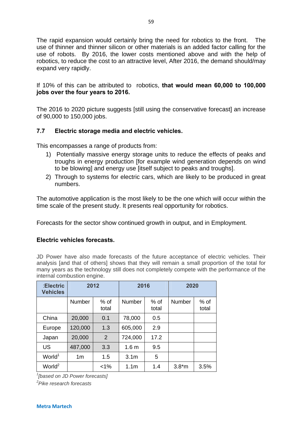The rapid expansion would certainly bring the need for robotics to the front. The use of thinner and thinner silicon or other materials is an added factor calling for the use of robots. By 2016, the lower costs mentioned above and with the help of robotics, to reduce the cost to an attractive level, After 2016, the demand should/may expand very rapidly.

If 10% of this can be attributed to robotics, **that would mean 60,000 to 100,000 jobs over the four years to 2016.** 

The 2016 to 2020 picture suggests [still using the conservative forecast] an increase of 90,000 to 150,000 jobs.

#### **7.7 Electric storage media and electric vehicles.**

This encompasses a range of products from:

- 1) Potentially massive energy storage units to reduce the effects of peaks and troughs in energy production [for example wind generation depends on wind to be blowing] and energy use [itself subject to peaks and troughs].
- 2) Through to systems for electric cars, which are likely to be produced in great numbers.

The automotive application is the most likely to be the one which will occur within the time scale of the present study. It presents real opportunity for robotics.

Forecasts for the sector show continued growth in output, and in Employment.

#### **Electric vehicles forecasts.**

JD Power have also made forecasts of the future acceptance of electric vehicles. Their analysis [and that of others] shows that they will remain a small proportion of the total for many years as the technology still does not completely compete with the performance of the internal combustion engine.

| :Electric<br><b>Vehicles</b> | 2012           |               | 2016             |               | 2020       |               |
|------------------------------|----------------|---------------|------------------|---------------|------------|---------------|
|                              | <b>Number</b>  | % of<br>total | <b>Number</b>    | % of<br>total | Number     | % of<br>total |
| China                        | 20,000         | 0.1           | 78,000           | 0.5           |            |               |
| Europe                       | 120,000        | 1.3           | 605,000          | 2.9           |            |               |
| Japan                        | 20,000         | 2             | 724,000          | 17.2          |            |               |
| US                           | 487,000        | 3.3           | 1.6 <sub>m</sub> | 9.5           |            |               |
| World <sup>1</sup>           | 1 <sub>m</sub> | 1.5           | 3.1 <sub>m</sub> | 5             |            |               |
| World $^2$                   |                | $< 1\%$       | 1.1 <sub>m</sub> | 1.4           | $3.8^{*}m$ | 3.5%          |

*1 [based on JD Power forecasts]* 

*2 Pike research forecasts*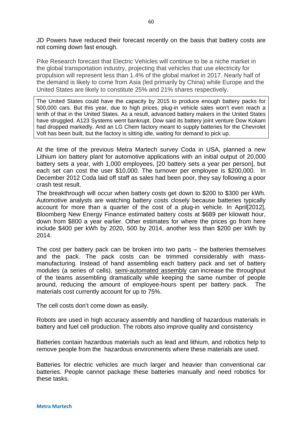JD Powers have reduced their forecast recently on the basis that battery costs are not coming down fast enough.

Pike Research forecast that Electric Vehicles will continue to be a niche market in the global transportation industry, projecting that vehicles that use electricity for propulsion will represent less than 1.4% of the global market in 2017. Nearly half of the demand is likely to come from Asia (led primarily by China) while Europe and the United States are likely to constitute 25% and 21% shares respectively.

The United States could have the capacity by 2015 to produce enough battery packs for 500,000 cars. But this year, due to high prices, plug-in vehicle sales won't even reach a tenth of that in the United States. As a result, advanced battery makers in the United States have struggled. A123 Systems went bankrupt. Dow said its battery joint venture Dow Kokam had dropped markedly. And an LG Chem factory meant to supply batteries for the Chevrolet Volt has been built, but the factory is sitting idle, waiting for demand to pick up.

At the time of the previous Metra Martech survey Coda in USA, planned a new Lithium ion battery plant for automotive applications with an initial output of 20,000 battery sets a year, with 1,000 employees, [20 battery sets a year per person], but each set can cost the user \$10,000. The turnover per employee is \$200,000. In December 2012 Coda laid off staff as sales had been poor, they say following a poor crash test result.

The breakthrough will occur when battery costs get down to \$200 to \$300 per kWh. Automotive analysts are watching battery costs closely because batteries typically account for more than a quarter of the cost of a plug-in vehicle. In April[2012], Bloomberg New Energy Finance estimated battery costs at \$689 per kilowatt hour, down from \$800 a year earlier. Other estimates for where the prices go from here include \$400 per kWh by 2020, 500 by 2014, another less than \$200 per kWh by 2014.

The cost per battery pack can be broken into two parts – the batteries themselves and the pack. The pack costs can be trimmed considerably with massmanufacturing. Instead of hand assembling each battery pack and set of battery modules (a series of cells), semi-automated assembly can increase the throughput of the teams assembling dramatically while keeping the same number of people around, reducing the amount of employee-hours spent per battery pack. The materials cost currently account for up to 75%.

The cell costs don't come down as easily.

Robots are used in high accuracy assembly and handling of hazardous materials in battery and fuel cell production. The robots also improve quality and consistency

Batteries contain hazardous materials such as lead and lithium, and robotics help to remove people from the hazardous environments where these materials are used.

Batteries for electric vehicles are much larger and heavier than conventional car batteries. People cannot package these batteries manually and need robotics for these tasks.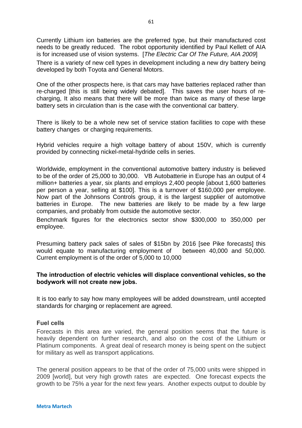Currently Lithium ion batteries are the preferred type, but their manufactured cost needs to be greatly reduced. The robot opportunity identified by Paul Kellett of AIA is for increased use of vision systems. [*The Electric Car Of The Future, AIA 2009*] There is a variety of new cell types in development including a new dry battery being developed by both Toyota and General Motors.

One of the other prospects here, is that cars may have batteries replaced rather than re-charged [this is still being widely debated]. This saves the user hours of recharging, It also means that there will be more than twice as many of these large battery sets in circulation than is the case with the conventional car battery.

There is likely to be a whole new set of service station facilities to cope with these battery changes or charging requirements.

Hybrid vehicles require a high voltage battery of about 150V, which is currently provided by connecting nickel-metal-hydride cells in series.

Worldwide, employment in the conventional automotive battery industry is believed to be of the order of 25,000 to 30,000. VB Autobatterie in Europe has an output of 4 million+ batteries a year, six plants and employs 2,400 people [about 1,600 batteries per person a year, selling at \$100]. This is a turnover of \$160,000 per employee. Now part of the Johnsons Controls group, it is the largest supplier of automotive batteries in Europe. The new batteries are likely to be made by a few large companies, and probably from outside the automotive sector.

Benchmark figures for the electronics sector show \$300,000 to 350,000 per employee.

Presuming battery pack sales of sales of \$15bn by 2016 [see Pike forecasts] this would equate to manufacturing employment of between 40,000 and 50,000. Current employment is of the order of 5,000 to 10,000

#### **The introduction of electric vehicles will displace conventional vehicles, so the bodywork will not create new jobs.**

It is too early to say how many employees will be added downstream, until accepted standards for charging or replacement are agreed.

#### **Fuel cells**

Forecasts in this area are varied, the general position seems that the future is heavily dependent on further research, and also on the cost of the Lithium or Platinum components. A great deal of research money is being spent on the subject for military as well as transport applications.

The general position appears to be that of the order of 75,000 units were shipped in 2009 [world], but very high growth rates are expected. One forecast expects the growth to be 75% a year for the next few years. Another expects output to double by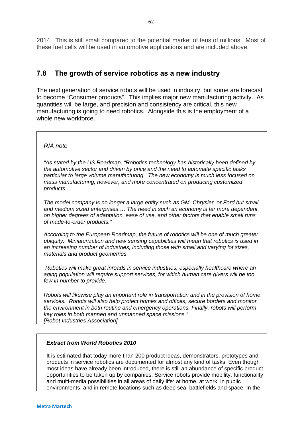2014. This is still small compared to the potential market of tens of millions. Most of these fuel cells will be used in automotive applications and are included above.

## **7.8 The growth of service robotics as a new industry**

The next generation of service robots will be used in industry, but some are forecast to become "Consumer products". This implies major new manufacturing activity. As quantities will be large, and precision and consistency are critical, this new manufacturing is going to need robotics. Alongside this is the employment of a whole new workforce.

#### *RIA note*

*"As stated by the US Roadmap, "Robotics technology has historically been defined by the automotive sector and driven by price and the need to automate specific tasks particular to large volume manufacturing. The new economy is much less focused on mass manufacturing, however, and more concentrated on producing customized products.* 

*The model company is no longer a large entity such as GM, Chrysler, or Ford but small and medium sized enterprises…. The need in such an economy is far more dependent on higher degrees of adaptation, ease of use, and other factors that enable small runs of made-to-order products."* 

*According to the European Roadmap, the future of robotics will be one of much greater ubiquity. Miniaturization and new sensing capabilities will mean that robotics is used in an increasing number of industries, including those with small and varying lot sizes, materials and product geometries.* 

 *Robotics will make great inroads in service industries, especially healthcare where an aging population will require support services, for which human care givers will be too few in number to provide.* 

*Robots will likewise play an important role in transportation and in the provision of home services. Robots will also help protect homes and offices, secure borders and monitor the environment in both routine and emergency operations. Finally, robots will perform key roles in both manned and unmanned space missions." [Robot Industries Association]* 

#### *Extract from World Robotics 2010*

It is estimated that today more than 200 product ideas, demonstrators, prototypes and products in service robotics are documented for almost any kind of tasks. Even though most ideas have already been introduced, there is still an abundance of specific product opportunities to be taken up by companies. Service robots provide mobility, functionality and multi-media possibilities in all areas of daily life: at home, at work, in public environments, and in remote locations such as deep sea, battlefields and space. In the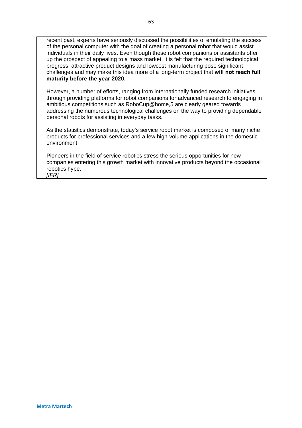recent past, experts have seriously discussed the possibilities of emulating the success of the personal computer with the goal of creating a personal robot that would assist individuals in their daily lives. Even though these robot companions or assistants offer up the prospect of appealing to a mass market, it is felt that the required technological progress, attractive product designs and lowcost manufacturing pose significant challenges and may make this idea more of a long-term project that **will not reach full maturity before the year 2020**.

However, a number of efforts, ranging from internationally funded research initiatives through providing platforms for robot companions for advanced research to engaging in ambitious competitions such as RoboCup@home,5 are clearly geared towards addressing the numerous technological challenges on the way to providing dependable personal robots for assisting in everyday tasks.

As the statistics demonstrate, today's service robot market is composed of many niche products for professional services and a few high-volume applications in the domestic environment.

Pioneers in the field of service robotics stress the serious opportunities for new companies entering this growth market with innovative products beyond the occasional robotics hype. *[IFR]*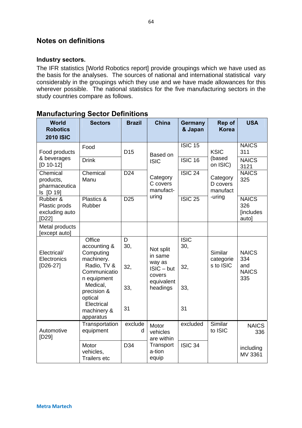## **Notes on definitions**

#### **Industry sectors.**

The IFR statistics [World Robotics report] provide groupings which we have used as the basis for the analyses. The sources of national and international statistical vary considerably in the groupings which they use and we have made allowances for this wherever possible. The national statistics for the five manufacturing sectors in the study countries compare as follows.

| <b>World</b><br><b>Robotics</b><br><b>2010 ISIC</b>  | <b>Sectors</b>                                                                   | <b>Brazil</b>   | China                                                                              | Germany<br>& Japan | Rep of<br><b>Korea</b>            | <b>USA</b>                                               |
|------------------------------------------------------|----------------------------------------------------------------------------------|-----------------|------------------------------------------------------------------------------------|--------------------|-----------------------------------|----------------------------------------------------------|
| Food products<br>& beverages<br>$[D 10-12]$          | Food                                                                             | D <sub>15</sub> | Based on<br><b>ISIC</b>                                                            | ISIC <sub>15</sub> | <b>KSIC</b><br>(based<br>on ISIC) | <b>NAICS</b><br>311                                      |
|                                                      | <b>Drink</b>                                                                     |                 |                                                                                    | I SIC 16           |                                   | <b>NAICS</b><br>3121                                     |
| Chemical<br>products,<br>pharmaceutica<br>Is [D 19]  | Chemical<br>Manu                                                                 | D <sub>24</sub> | Category<br>C covers<br>manufact-                                                  | ISIC <sub>24</sub> | Category<br>D covers<br>manufact  | <b>NAICS</b><br>325                                      |
| Rubber &<br>Plastic prods<br>excluding auto<br>[D22] | Plastics &<br>Rubber                                                             | D <sub>25</sub> | uring                                                                              | ISIC <sub>25</sub> | -uring                            | <b>NAICS</b><br>326<br><i><b>[includes]</b></i><br>auto] |
| Metal products<br>[except auto]                      |                                                                                  |                 |                                                                                    |                    |                                   |                                                          |
| Electrical/<br>Electronics<br>$[D26-27]$             | Office<br>accounting &<br>Computing<br>machinery.                                | D<br>30,<br>32. | Not split<br>in same<br>way as<br>$ISIC - but$<br>covers<br>equivalent<br>headings | <b>ISIC</b><br>30, | Similar<br>categorie<br>s to ISIC | <b>NAICS</b><br>334                                      |
|                                                      | Radio, TV &<br>Communicatio<br>n equipment<br>Medical,<br>precision &<br>optical |                 |                                                                                    | 32.                |                                   | and<br><b>NAICS</b><br>335                               |
|                                                      |                                                                                  | 33,             |                                                                                    | 33,                |                                   |                                                          |
|                                                      | Electrical<br>machinery &<br>apparatus                                           | 31              |                                                                                    | 31                 |                                   |                                                          |
| Automotive<br>[D29]                                  | Transportation<br>equipment                                                      | exclude<br>d    | Motor<br>vehicles<br>are within<br>Transport<br>a-tion<br>equip                    | excluded           | Similar<br>to ISIC                | <b>NAICS</b><br>336                                      |
|                                                      | Motor<br>vehicles,<br><b>Trailers etc</b>                                        | D34             |                                                                                    | ISIC <sub>34</sub> |                                   | including<br>MV 3361                                     |

## **Manufacturing Sector Definitions**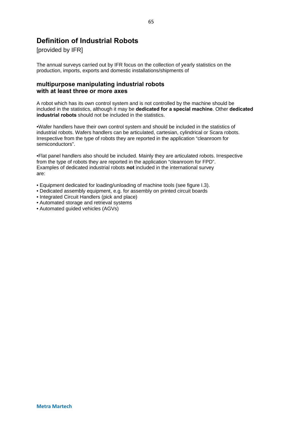# **Definition of Industrial Robots**

[provided by IFR]

The annual surveys carried out by IFR focus on the collection of yearly statistics on the production, imports, exports and domestic installations/shipments of

#### **multipurpose manipulating industrial robots with at least three or more axes**

A robot which has its own control system and is not controlled by the machine should be included in the statistics, although it may be **dedicated for a special machine**. Other **dedicated industrial robots** should not be included in the statistics.

•Wafer handlers have their own control system and should be included in the statistics of industrial robots. Wafers handlers can be articulated, cartesian, cylindrical or Scara robots. Irrespective from the type of robots they are reported in the application "cleanroom for semiconductors".

•Flat panel handlers also should be included. Mainly they are articulated robots. Irrespective from the type of robots they are reported in the application "cleanroom for FPD". Examples of dedicated industrial robots **not** included in the international survey are:

- Equipment dedicated for loading/unloading of machine tools (see figure I.3).
- Dedicated assembly equipment, e.g. for assembly on printed circuit boards
- Integrated Circuit Handlers (pick and place)
- Automated storage and retrieval systems
- Automated guided vehicles (AGVs)